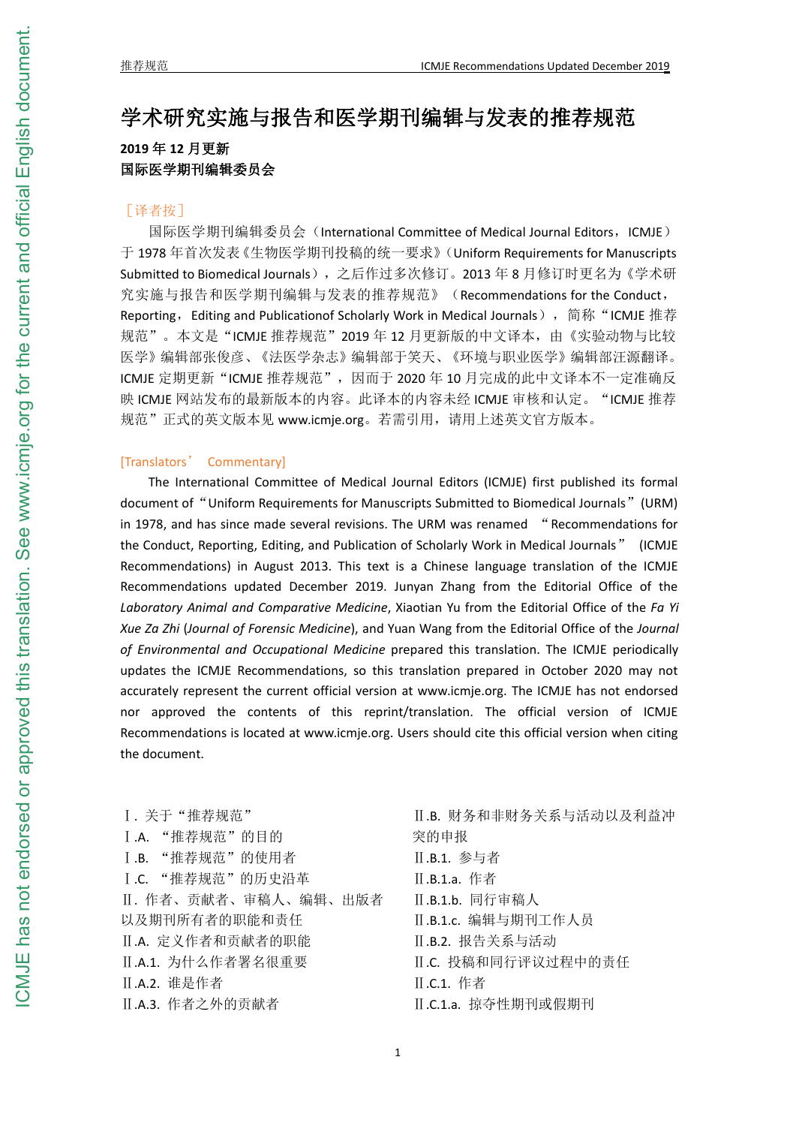# 学术研究实施与报告和医学期刊编辑与发表的推荐规范 **2019** 年 **12** 月更新 国际医学期刊编辑委员会

## [译者按]

国际医学期刊编辑委员会 (International Committee of Medical Journal Editors, ICMJE) 于 1978 年首次发表《生物医学期刊投稿的统一要求》(Uniform Requirements for Manuscripts Submitted to Biomedical Journals),之后作过多次修订。2013 年 8 月修订时更名为《学术研 究实施与报告和医学期刊编辑与发表的推荐规范》(Recommendations for the Conduct, Reporting, Editing and Publicationof Scholarly Work in Medical Journals), 简称"ICMJE 推荐 规范"。本文是"ICMJE 推荐规范"2019年12月更新版的中文译本,由《实验动物与比较 医学》编辑部张俊彦、《法医学杂志》编辑部于笑天、《环境与职业医学》编辑部汪源翻译。 ICMJE 定期更新"ICMJE 推荐规范",因而于 2020 年 10 月完成的此中文译本不一定准确反 映 ICMJE 网站发布的最新版本的内容。此译本的内容未经 ICMJE 审核和认定。"ICMJE 推荐 规范"正式的英文版本见 www.icmje.org。若需引用, 请用上述英文官方版本。

## [Translators' Commentary]

The International Committee of Medical Journal Editors (ICMJE) first published its formal document of "Uniform Requirements for Manuscripts Submitted to Biomedical Journals" (URM) in 1978, and has since made several revisions. The URM was renamed "Recommendations for the Conduct, Reporting, Editing, and Publication of Scholarly Work in Medical Journals" (ICMJE Recommendations) in August 2013. This text is a Chinese language translation of the ICMJE Recommendations updated December 2019. Junyan Zhang from the Editorial Office of the *Laboratory Animal and Comparative Medicine, Xiaotian Yu from the Editorial Office of the Fa Yi Xue Za Zhi* (*Journal of Forensic Medicine*), and Yuan Wang from the Editorial Office of the *Journal of Environmental and Occupational Medicine* prepared this translation. The ICMJE periodically updates the ICMJE Recommendations, so this translation prepared in October 2020 may not accurately represent the current official version at www.icmje.org. The ICMJE has not endorsed nor approved the contents of this reprint/translation. The official version of ICMJE Recommendations is located at www.icmje.org. Users should cite this official version when citing the document.

Ⅰ. 关于"推荐规范" Ⅰ.A. "推荐规范"的目的 Ⅰ.B. "推荐规范"的使用者 Ⅰ.C. "推荐规范"的历史沿革 Ⅱ. 作者、贡献者、审稿人、编辑、出版者 以及期刊所有者的职能和责任 Ⅱ.A. 定义作者和贡献者的职能 Ⅱ.A.1. 为什么作者署名很重要 Ⅱ.A.2. 谁是作者 Ⅱ.A.3. 作者之外的贡献者

Ⅱ.B. 财务和非财务关系与活动以及利益冲 突的申报 Ⅱ.B.1. 参与者 Ⅱ.B.1.a. 作者 Ⅱ.B.1.b. 同行审稿人 Ⅱ.B.1.c. 编辑与期刊工作人员 Ⅱ.B.2. 报告关系与活动 Ⅱ.C. 投稿和同行评议过程中的责任 Ⅱ.C.1. 作者 Ⅱ.C.1.a. 掠夺性期刊或假期刊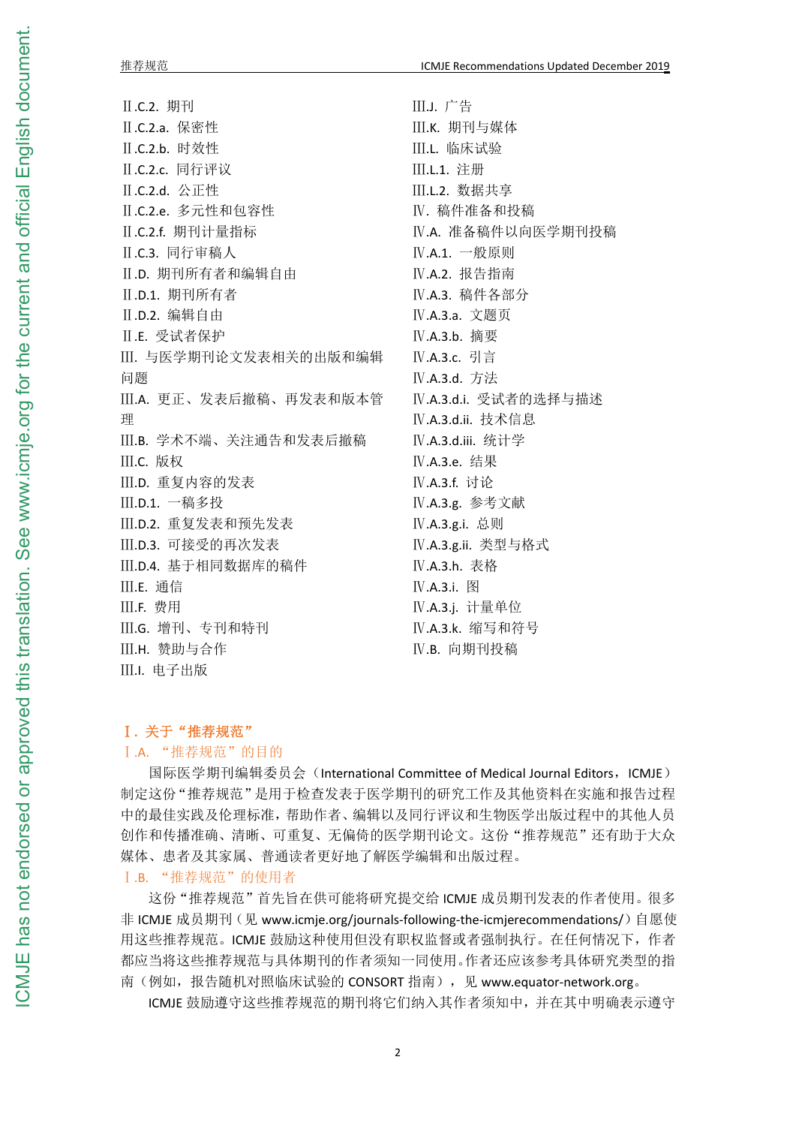.C.2. 期刊 .C.2.a. 保密性 .C.2.b. 时效性 .C.2.c. 同行评议 .C.2.d. 公正性 .C.2.e. 多元性和包容性 .C.2.f. 期刊计量指标 .C.3. 同行审稿人 .D. 期刊所有者和编辑自由 .D.1. 期刊所有者 .D.2. 编辑自由 .E. 受试者保护 . 与医学期刊论文发表相关的出版和编辑 ロックス しゅうしょう しゅうしょう しんしゅう しゅうしょく しゅうしょく しゅうしょく .A. 更正、发表后撤稿、再发表和版本管 理想をしていることをしているので、このようになっている。 .B. 学术不端、关注通告和发表后撤稿 .C. 版权 .D. 重复内容的发表 .D.1. 一稿多投 .D.2. 重复发表和预先发表 .D.3. 可接受的再次发表 .D.4. 基于相同数据库的稿件 .E. 通信 .F. 费用 .G. 增刊、专刊和特刊 .H. 赞助与合作 .I. 电子出版

.J. 广告 .K. 期刊与媒体 .L. 临床试验 .L.1. 注册 .L.2. 数据共享 . 稿件准备和投稿 .A. 准备稿件以向医学期刊投稿 .A.1. 一般原则 .A.2. 报告指南 .A.3. 稿件各部分 .A.3.a. 文题页 .A.3.b. 摘要 .A.3.c. 引言 .A.3.d. 方法 .A.3.d.i. 受试者的选择与描述 .A.3.d.ii. 技术信息 .A.3.d.iii. 统计学 .A.3.e. 结果 .A.3.f. 讨论 .A.3.g. 参考文献 .A.3.g.i. 总则 .A.3.g.ii. 类型与格式 .A.3.h. 表格 .A.3.i. 图 .A.3.j. 计量单位 .A.3.k. 缩写和符号 .B. 向期刊投稿

## **.** 关于"推荐规范"

## .A. "推荐规范"的目的

国际医学期刊编辑委员会(International Committee of Medical Journal Editors, ICMJE) 制定这份"推荐规范"是用于检查发表于医学期刊的研究工作及其他资料在实施和报告过程 中的最佳实践及伦理标准,帮助作者、编辑以及同行评议和生物医学出版过程中的其他人员 创作和传播准确、清晰、可重复、无偏倚的医学期刊论文。这份"推荐规范"还有助于大众 媒体、患者及其家属、普通读者更好地了解医学编辑和出版过程。

## .B. "推荐规范"的使用者

这份"推荐规范"首先旨在供可能将研究提交给 ICMJE 成员期刊发表的作者使用。很多 非 ICMJE 成员期刊(见 www.icmje.org/journals-following-the-icmjerecommendations/)自愿使 用这些推荐规范。ICMJE 鼓励这种使用但没有职权监督或者强制执行。在任何情况下,作者 都应当将这些推荐规范与具体期刊的作者须知一同使用。作者还应该参考具体研究类型的指 南(例如,报告随机对照临床试验的 CONSORT 指南),见 www.equator-network.org。

ICMJE 鼓励遵守这些推荐规范的期刊将它们纳入其作者须知中,并在其中明确表示遵守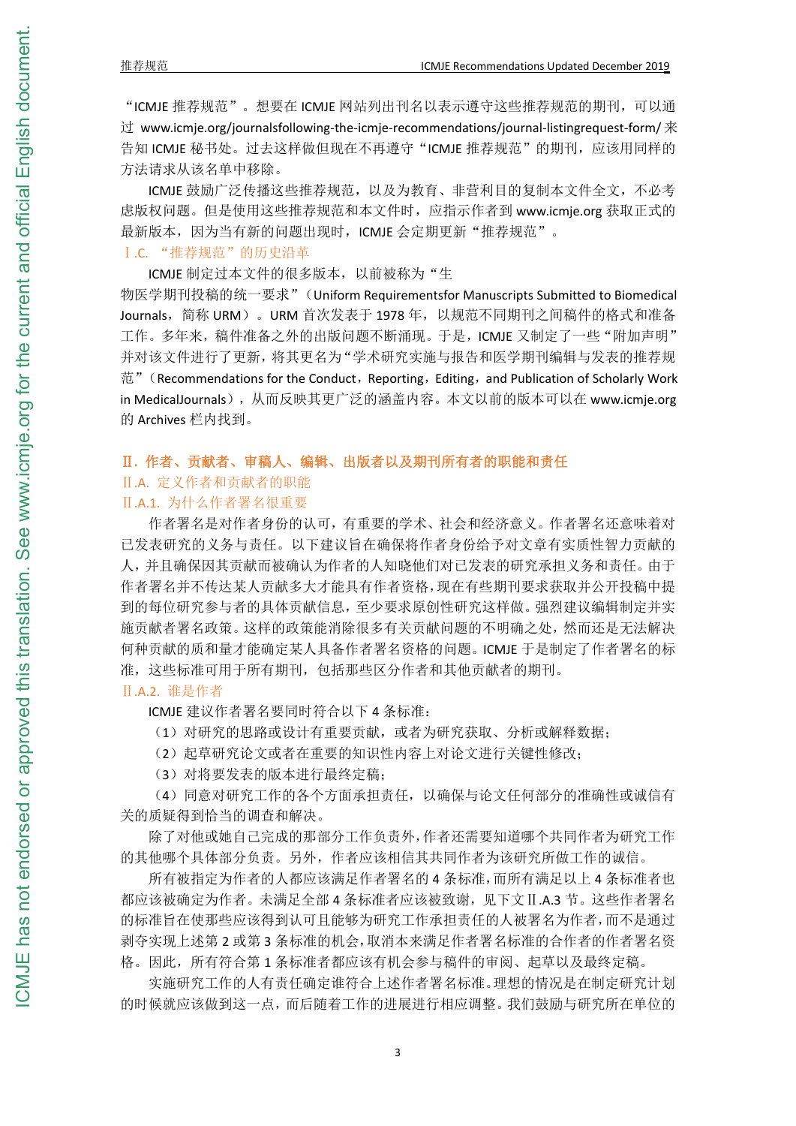"ICMJE 推荐规范"。想要在 ICMJE 网站列出刊名以表示遵守这些推荐规范的期刊,可以通 过 www.icmje.org/journalsfollowing-the-icmje-recommendations/journal-listingrequest-form/  $\ddot{\mathcal{R}}$ 告知 ICMJE 秘书处。过去这样做但现在不再遵守"ICMJE 推荐规范"的期刊,应该用同样的 方法请求从该名单中移除。

ICMJE 鼓励广泛传播这些推荐规范, 以及为教育、非营利目的复制本文件全文, 不必考 虑版权问题。但是使用这些推荐规范和本文件时,应指示作者到 www.icmje.org 获取正式的 最新版本,因为当有新的问题出现时,ICMJE 会定期更新"推荐规范"。

Ⅰ.C. "推荐规范"的历史沿革

ICMJE 制定过本文件的很多版本, 以前被称为"生

物医学期刊投稿的统一要求"(Uniform Requirementsfor Manuscripts Submitted to Biomedical Journals, 简称 URM)。 URM 首次发表于 1978 年, 以规范不同期刊之间稿件的格式和准备 工作。多年来,稿件准备之外的出版问题不断涌现。于是,ICMJE 又制定了一些"附加声明" 并对该文件进行了更新,将其更名为"学术研究实施与报告和医学期刊编辑与发表的推荐规  $\ddot{\text{m}}$ " (Recommendations for the Conduct, Reporting, Editing, and Publication of Scholarly Work in MedicalJournals),从而反映其更广泛的涵盖内容。本文以前的版本可以在 www.icmje.org 的 Archives 栏内找到。

## Ⅱ**.** 作者、贡献者、审稿人、编辑、出版者以及期刊所有者的职能和责任

## Ⅱ.A. 定义作者和贡献者的职能

## Ⅱ.A.1. 为什么作者署名很重要

作者署名是对作者身份的认可,有重要的学术、社会和经济意义。作者署名还意味着对 已发表研究的义务与责任。以下建议旨在确保将作者身份给予对文章有实质性智力贡献的 人,并且确保因其贡献而被确认为作者的人知晓他们对已发表的研究承担义务和责任。由于 作者署名并不传达某人贡献多大才能具有作者资格,现在有些期刊要求获取并公开投稿中提 到的每位研究参与者的具体贡献信息,至少要求原创性研究这样做。强烈建议编辑制定并实 施贡献者署名政策。这样的政策能消除很多有关贡献问题的不明确之处,然而还是无法解决 何种贡献的质和量才能确定某人具备作者署名资格的问题。ICMJE 于是制定了作者署名的标 准,这些标准可用于所有期刊,包括那些区分作者和其他贡献者的期刊。

Ⅱ.A.2. 谁是作者

ICMJE 建议作者署名要同时符合以下 4 条标准:

(1)对研究的思路或设计有重要贡献,或者为研究获取、分析或解释数据;

(2)起草研究论文或者在重要的知识性内容上对论文进行关键性修改;

(3)对将要发表的版本进行最终定稿;

(4)同意对研究工作的各个方面承担责任,以确保与论文任何部分的准确性或诚信有 关的质疑得到恰当的调查和解决。

除了对他或她自己完成的那部分工作负责外,作者还需要知道哪个共同作者为研究工作 的其他哪个具体部分负责。另外,作者应该相信其共同作者为该研究所做工作的诚信。

所有被指定为作者的人都应该满足作者署名的 4 条标准,而所有满足以上 4 条标准者也 都应该被确定为作者。未满足全部 4 条标准者应该被致谢,见下文Ⅱ.A.3 节。这些作者署名 的标准旨在使那些应该得到认可且能够为研究工作承担责任的人被署名为作者,而不是通过 剥夺实现上述第 2 或第 3 条标准的机会,取消本来满足作者署名标准的合作者的作者署名资 格。因此,所有符合第 1 条标准者都应该有机会参与稿件的审阅、起草以及最终定稿。

实施研究工作的人有责任确定谁符合上述作者署名标准。理想的情况是在制定研究计划 的时候就应该做到这一点,而后随着工作的进展进行相应调整。我们鼓励与研究所在单位的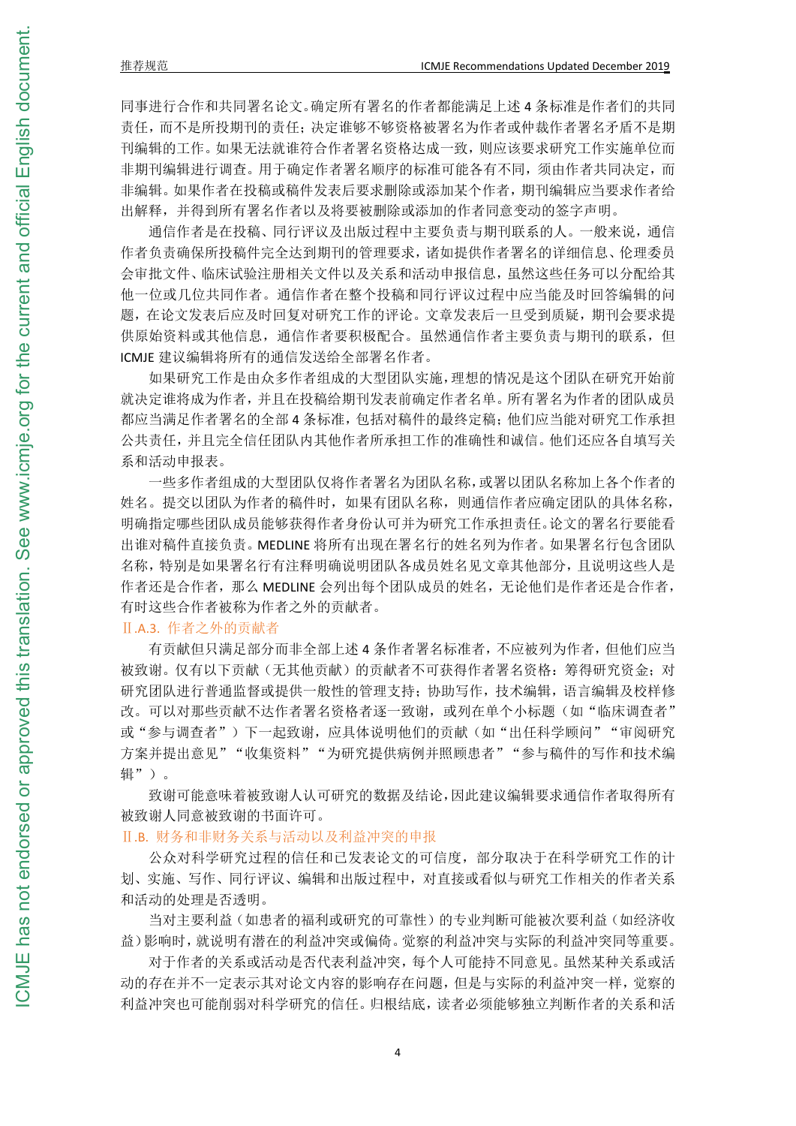同事进行合作和共同署名论文。确定所有署名的作者都能满足上述 4 条标准是作者们的共同 责任,而不是所投期刊的责任;决定谁够不够资格被署名为作者或仲裁作者署名矛盾不是期 刊编辑的工作。如果无法就谁符合作者署名资格达成一致,则应该要求研究工作实施单位而 非期刊编辑进行调查。用于确定作者署名顺序的标准可能各有不同,须由作者共同决定,而 非编辑。如果作者在投稿或稿件发表后要求删除或添加某个作者,期刊编辑应当要求作者给 出解释,并得到所有署名作者以及将要被删除或添加的作者同意变动的签字声明。

通信作者是在投稿、同行评议及出版过程中主要负责与期刊联系的人。一般来说,通信 作者负责确保所投稿件完全达到期刊的管理要求,诸如提供作者署名的详细信息、伦理委员 会审批文件、临床试验注册相关文件以及关系和活动申报信息,虽然这些任务可以分配给其 他一位或几位共同作者。通信作者在整个投稿和同行评议过程中应当能及时回答编辑的问 题,在论文发表后应及时回复对研究工作的评论。文章发表后一旦受到质疑,期刊会要求提 供原始资料或其他信息,通信作者要积极配合。虽然通信作者主要负责与期刊的联系,但 ICMJE 建议编辑将所有的通信发送给全部署名作者。

如果研究工作是由众多作者组成的大型团队实施,理想的情况是这个团队在研究开始前 就决定谁将成为作者,并且在投稿给期刊发表前确定作者名单。所有署名为作者的团队成员 都应当满足作者署名的全部 4 条标准,包括对稿件的最终定稿;他们应当能对研究工作承担 公共责任,并且完全信任团队内其他作者所承担工作的准确性和诚信。他们还应各自填写关 系和活动申报表。

一些多作者组成的大型团队仅将作者署名为团队名称,或署以团队名称加上各个作者的 姓名。提交以团队为作者的稿件时,如果有团队名称,则通信作者应确定团队的具体名称, 明确指定哪些团队成员能够获得作者身份认可并为研究工作承担责任。论文的署名行要能看 出谁对稿件直接负责。MEDLINE 将所有出现在署名行的姓名列为作者。如果署名行包含团队 名称,特别是如果署名行有注释明确说明团队各成员姓名见文章其他部分,且说明这些人是 作者还是合作者,那么 MEDLINE 会列出每个团队成员的姓名,无论他们是作者还是合作者, 有时这些合作者被称为作者之外的贡献者。

## Ⅱ.A.3. 作者之外的贡献者

有贡献但只满足部分而非全部上述 4 条作者署名标准者,不应被列为作者,但他们应当 被致谢。仅有以下贡献(无其他贡献)的贡献者不可获得作者署名资格: 筹得研究资金; 对 研究团队进行普通监督或提供一般性的管理支持;协助写作,技术编辑,语言编辑及校样修 改。可以对那些贡献不达作者署名资格者逐一致谢,或列在单个小标题(如"临床调查者" 或"参与调查者")下一起致谢,应具体说明他们的贡献(如"出任科学顾问""审阅研究 方案并提出意见""收集资料""为研究提供病例并照顾患者""参与稿件的写作和技术编 辑")。

致谢可能意味着被致谢人认可研究的数据及结论,因此建议编辑要求通信作者取得所有 被致谢人同意被致谢的书面许可。

#### Ⅱ.B. 财务和非财务关系与活动以及利益冲突的申报

公众对科学研究过程的信任和已发表论文的可信度,部分取决于在科学研究工作的计 划、实施、写作、同行评议、编辑和出版过程中,对直接或看似与研究工作相关的作者关系 和活动的处理是否透明。

当对主要利益(如患者的福利或研究的可靠性)的专业判断可能被次要利益(如经济收 益)影响时,就说明有潜在的利益冲突或偏倚。觉察的利益冲突与实际的利益冲突同等重要。

对于作者的关系或活动是否代表利益冲突,每个人可能持不同意见。虽然某种关系或活 动的存在并不一定表示其对论文内容的影响存在问题,但是与实际的利益冲突一样,觉察的 利益冲突也可能削弱对科学研究的信任。归根结底,读者必须能够独立判断作者的关系和活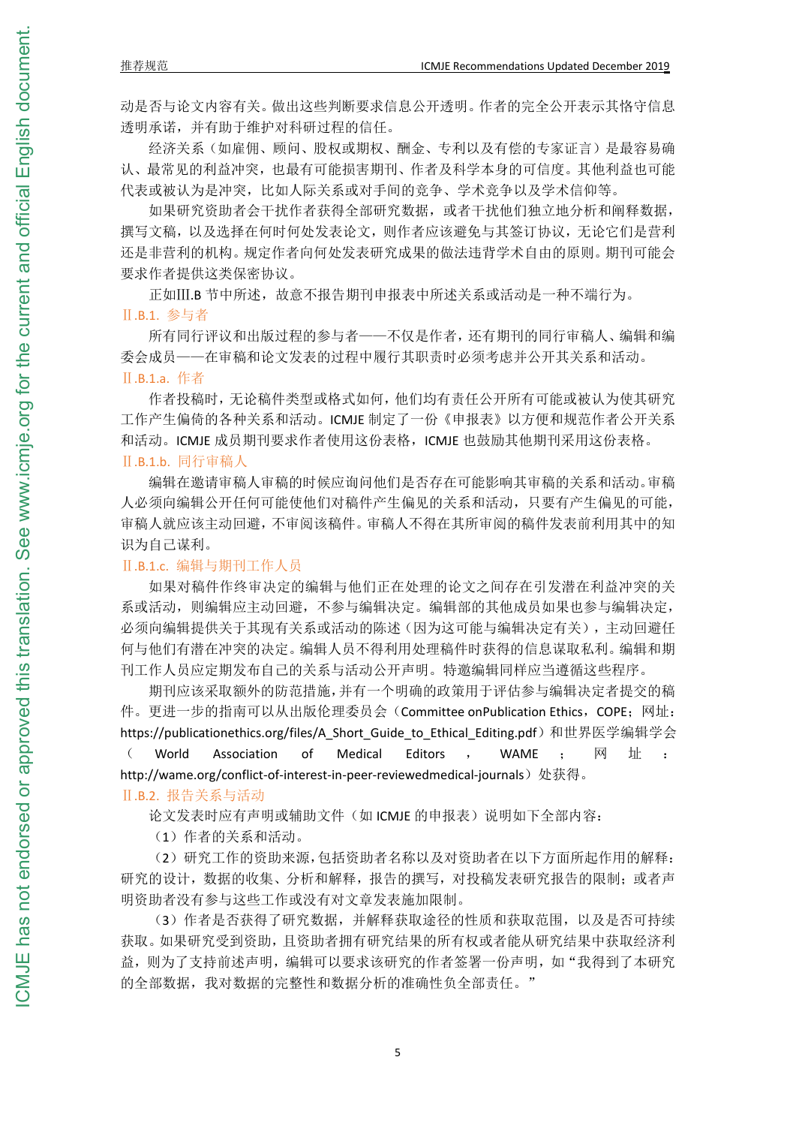#### 推荐规范 ICMJE Recommendations Updated December 2019

动是否与论文内容有关。做出这些判断要求信息公开透明。作者的完全公开表示其恪守信息 透明承诺,并有助于维护对科研过程的信任。

经济关系(如雇佣、顾问、股权或期权、酬金、专利以及有偿的专家证言)是最容易确 认、最常见的利益冲突,也最有可能损害期刊、作者及科学本身的可信度。其他利益也可能 代表或被认为是冲突,比如人际关系或对手间的竞争、学术竞争以及学术信仰等。

如果研究资助者会干扰作者获得全部研究数据,或者干扰他们独立地分析和阐释数据, 撰写文稿,以及选择在何时何处发表论文,则作者应该避免与其签订协议,无论它们是营利 还是非营利的机构。规定作者向何处发表研究成果的做法违背学术自由的原则。期刊可能会 要求作者提供这类保密协议。

正如Ⅲ.B 节中所述,故意不报告期刊申报表中所述关系或活动是一种不端行为。 Ⅱ.B.1. 参与者

所有同行评议和出版过程的参与者——不仅是作者,还有期刊的同行审稿人、编辑和编 委会成员——在审稿和论文发表的过程中履行其职责时必须考虑并公开其关系和活动。 Ⅱ.B.1.a. 作者

作者投稿时,无论稿件类型或格式如何,他们均有责任公开所有可能或被认为使其研究 工作产生偏倚的各种关系和活动。ICMJE 制定了一份《申报表》以方便和规范作者公开关系 和活动。ICMJE 成员期刊要求作者使用这份表格,ICMJE 也鼓励其他期刊采用这份表格。 Ⅱ.B.1.b. 同行审稿人

编辑在邀请审稿人审稿的时候应询问他们是否存在可能影响其审稿的关系和活动。审稿 人必须向编辑公开任何可能使他们对稿件产生偏见的关系和活动,只要有产生偏见的可能, 审稿人就应该主动回避,不审阅该稿件。审稿人不得在其所审阅的稿件发表前利用其中的知 识为自己谋利。

## Ⅱ.B.1.c. 编辑与期刊工作人员

如果对稿件作终审决定的编辑与他们正在处理的论文之间存在引发潜在利益冲突的关 系或活动,则编辑应主动回避,不参与编辑决定。编辑部的其他成员如果也参与编辑决定, 必须向编辑提供关于其现有关系或活动的陈述(因为这可能与编辑决定有关),主动回避任 何与他们有潜在冲突的决定。编辑人员不得利用处理稿件时获得的信息谋取私利。编辑和期 刊工作人员应定期发布自己的关系与活动公开声明。特邀编辑同样应当遵循这些程序。

期刊应该采取额外的防范措施,并有一个明确的政策用于评估参与编辑决定者提交的稿 件。更进一步的指南可以从出版伦理委员会(Committee onPublication Ethics, COPE; 网址: https://publicationethics.org/files/A\_Short\_Guide\_to\_Ethical\_Editing.pdf)和世界医学编辑学会  $\left(\begin{array}{ccccccccc} \text{World} & \text{Association} & \text{of} & \text{Medical} & \text{Editors} & , & \text{WAME} & ; & \overline{\boxtimes} & \underline{\boxplus} & : & \end{array}\right)$ http://wame.org/conflict-of-interest-in-peer-reviewedmedical-journals)处获得。

Ⅱ.B.2. 报告关系与活动

论文发表时应有声明或辅助文件(如 ICMJE 的申报表)说明如下全部内容:

(1)作者的关系和活动。

(2)研究工作的资助来源,包括资助者名称以及对资助者在以下方面所起作用的解释: 研究的设计,数据的收集、分析和解释,报告的撰写,对投稿发表研究报告的限制;或者声 明资助者没有参与这些工作或没有对文章发表施加限制。

(3)作者是否获得了研究数据,并解释获取途径的性质和获取范围,以及是否可持续 获取。如果研究受到资助,且资助者拥有研究结果的所有权或者能从研究结果中获取经济利 益,则为了支持前述声明,编辑可以要求该研究的作者签署一份声明,如"我得到了本研究 的全部数据,我对数据的完整性和数据分析的准确性负全部责任。"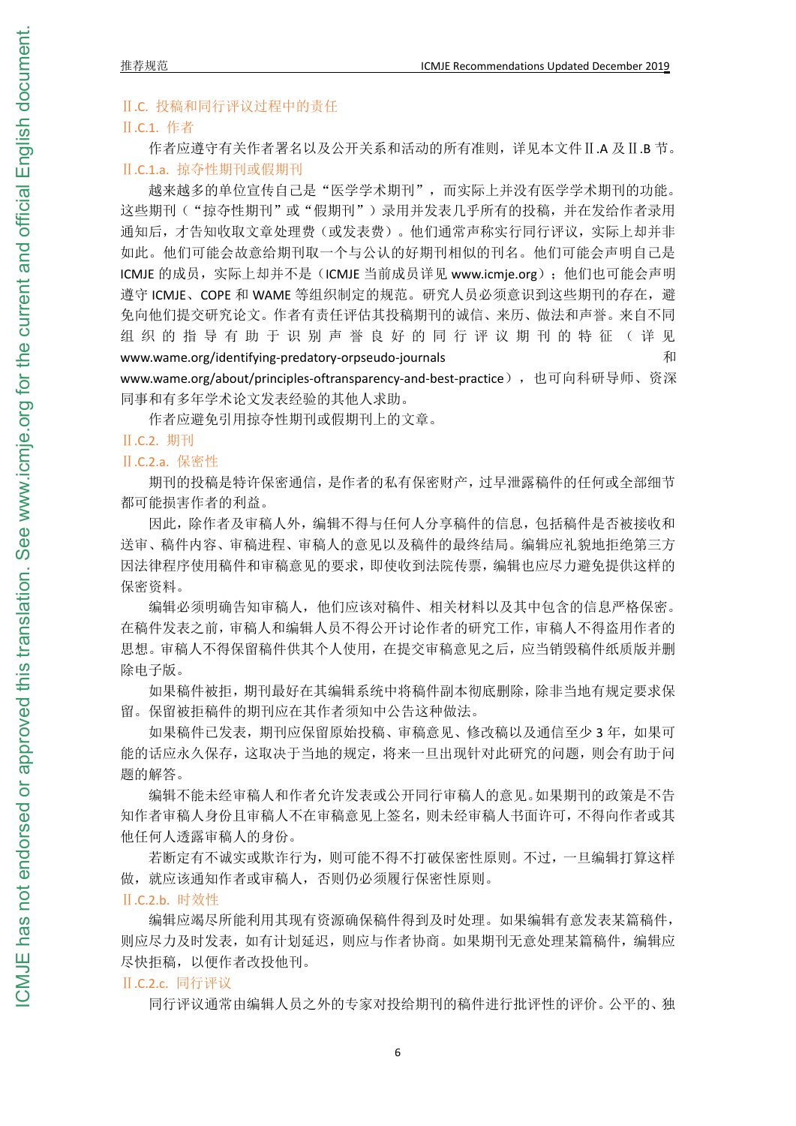## Ⅱ.C. 投稿和同行评议过程中的责任

## Ⅱ.C.1. 作者

作者应遵守有关作者署名以及公开关系和活动的所有准则,详见本文件Ⅱ.A 及Ⅱ.B 节。 Ⅱ.C.1.a. 掠夺性期刊或假期刊

越来越多的单位宣传自己是"医学学术期刊",而实际上并没有医学学术期刊的功能。 这些期刊("掠夺性期刊"或"假期刊")录用并发表几乎所有的投稿,并在发给作者录用 通知后,才告知收取文章处理费(或发表费)。他们通常声称实行同行评议,实际上却并非 如此。他们可能会故意给期刊取一个与公认的好期刊相似的刊名。他们可能会声明自己是 ICMJE 的成员, 实际上却并不是(ICMJE 当前成员详见 www.icmie.org): 他们也可能会声明 遵守 ICMJE、COPE 和 WAME 等组织制定的规范。研究人员必须意识到这些期刊的存在,避 免向他们提交研究论文。作者有责任评估其投稿期刊的诚信、来历、做法和声誉。来自不同 组织 的 指 导 有 助 于 识 别 声 誉 良 好 的 同 行 评 议 期 刊 的 特 征 ( 详 见 www.wame.org/identifying-predatory-orpseudo-journals 和 www.wame.org/about/principles-oftransparency-and-best-practice),也可向科研导师、资深

同事和有多年学术论文发表经验的其他人求助。

作者应避免引用掠夺性期刊或假期刊上的文章。

## Ⅱ.C.2. 期刊

#### Ⅱ.C.2.a. 保密性

期刊的投稿是特许保密通信,是作者的私有保密财产,过早泄露稿件的任何或全部细节 都可能损害作者的利益。

因此,除作者及审稿人外,编辑不得与任何人分享稿件的信息,包括稿件是否被接收和 送审、稿件内容、审稿进程、审稿人的意见以及稿件的最终结局。编辑应礼貌地拒绝第三方 因法律程序使用稿件和审稿意见的要求,即使收到法院传票,编辑也应尽力避免提供这样的 保密资料。

编辑必须明确告知审稿人,他们应该对稿件、相关材料以及其中包含的信息严格保密。 在稿件发表之前,审稿人和编辑人员不得公开讨论作者的研究工作,审稿人不得盗用作者的 思想。审稿人不得保留稿件供其个人使用,在提交审稿意见之后,应当销毁稿件纸质版并删 除电子版。

如果稿件被拒,期刊最好在其编辑系统中将稿件副本彻底删除,除非当地有规定要求保 留。保留被拒稿件的期刊应在其作者须知中公告这种做法。

如果稿件己发表,期刊应保留原始投稿、审稿意见、修改稿以及通信至少 3 年, 如果可 能的话应永久保存,这取决于当地的规定,将来一旦出现针对此研究的问题,则会有助于问 题的解答。

编辑不能未经审稿人和作者允许发表或公开同行审稿人的意见。如果期刊的政策是不告 知作者审稿人身份且审稿人不在审稿意见上签名,则未经审稿人书面许可,不得向作者或其 他任何人透露审稿人的身份。

若断定有不诚实或欺诈行为,则可能不得不打破保密性原则。不过,一旦编辑打算这样 做,就应该通知作者或审稿人,否则仍必须履行保密性原则。

## Ⅱ.C.2.b. 时效性

编辑应竭尽所能利用其现有资源确保稿件得到及时处理。如果编辑有意发表某篇稿件, 则应尽力及时发表,如有计划延迟,则应与作者协商。如果期刊无意处理某篇稿件,编辑应 尽快拒稿,以便作者改投他刊。

#### Ⅱ.C.2.c. 同行评议

同行评议通常由编辑人员之外的专家对投给期刊的稿件进行批评性的评价。公平的、独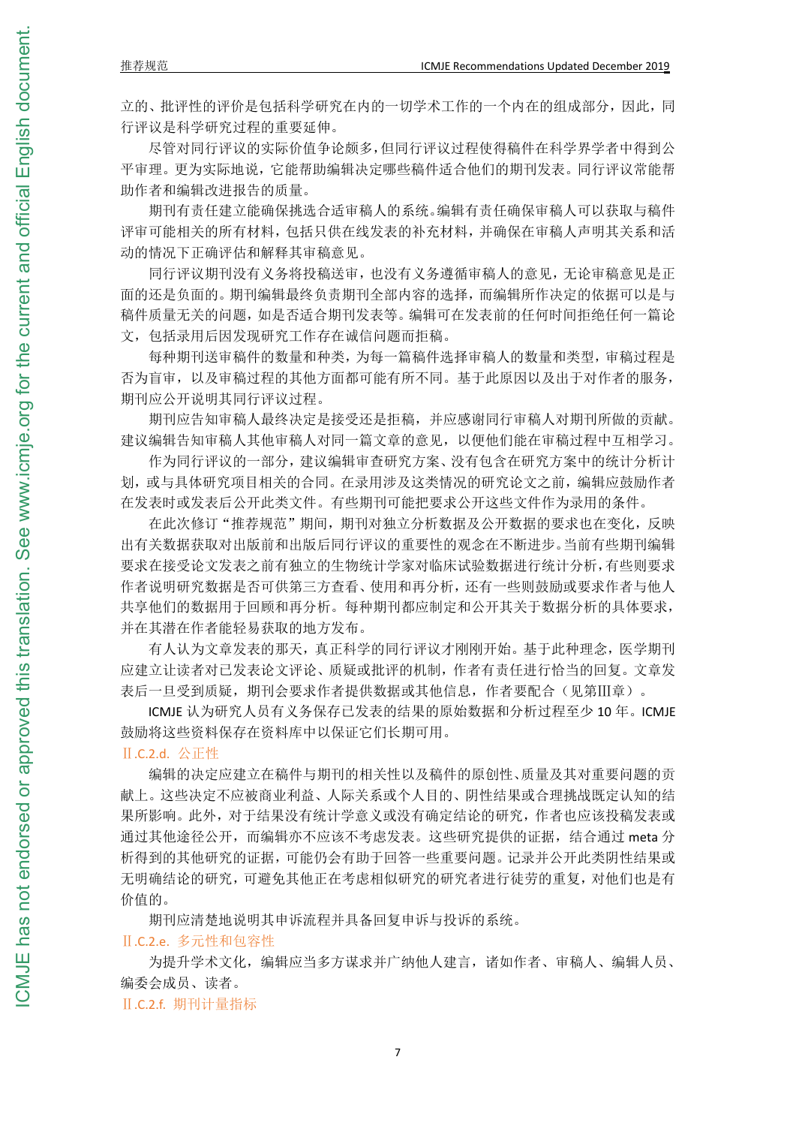立的、批评性的评价是包括科学研究在内的一切学术工作的一个内在的组成部分,因此,同 行评议是科学研究过程的重要延伸。

尽管对同行评议的实际价值争论颇多,但同行评议过程使得稿件在科学界学者中得到公 平审理。更为实际地说,它能帮助编辑决定哪些稿件适合他们的期刊发表。同行评议常能帮 助作者和编辑改进报告的质量。

期刊有责任建立能确保挑选合适审稿人的系统。编辑有责任确保审稿人可以获取与稿件 评审可能相关的所有材料,包括只供在线发表的补充材料,并确保在审稿人声明其关系和活 动的情况下正确评估和解释其审稿意见。

同行评议期刊没有义务将投稿送审,也没有义务遵循审稿人的意见,无论审稿意见是正 面的还是负面的。期刊编辑最终负责期刊全部内容的选择,而编辑所作决定的依据可以是与 稿件质量无关的问题,如是否适合期刊发表等。编辑可在发表前的任何时间拒绝任何一篇论 文,包括录用后因发现研究工作存在诚信问题而拒稿。

每种期刊送审稿件的数量和种类,为每一篇稿件选择审稿人的数量和类型,审稿过程是 否为盲审,以及审稿过程的其他方面都可能有所不同。基于此原因以及出于对作者的服务, 期刊应公开说明其同行评议过程。

期刊应告知审稿人最终决定是接受还是拒稿,并应感谢同行审稿人对期刊所做的贡献。 建议编辑告知审稿人其他审稿人对同一篇文章的意见,以便他们能在审稿过程中互相学习。

作为同行评议的一部分,建议编辑审查研究方案、没有包含在研究方案中的统计分析计 划,或与具体研究项目相关的合同。在录用涉及这类情况的研究论文之前,编辑应鼓励作者 在发表时或发表后公开此类文件。有些期刊可能把要求公开这些文件作为录用的条件。

在此次修订"推荐规范"期间,期刊对独立分析数据及公开数据的要求也在变化,反映 出有关数据获取对出版前和出版后同行评议的重要性的观念在不断进步。当前有些期刊编辑 要求在接受论文发表之前有独立的生物统计学家对临床试验数据进行统计分析,有些则要求 作者说明研究数据是否可供第三方查看、使用和再分析,还有一些则鼓励或要求作者与他人 共享他们的数据用于回顾和再分析。每种期刊都应制定和公开其关于数据分析的具体要求, 并在其潜在作者能轻易获取的地方发布。

有人认为文章发表的那天,真正科学的同行评议才刚刚开始。基于此种理念,医学期刊 应建立让读者对已发表论文评论、质疑或批评的机制,作者有责任进行恰当的回复。文章发 表后一旦受到质疑,期刊会要求作者提供数据或其他信息,作者要配合(见第Ⅲ章)。

ICMJE 认为研究人员有义务保存已发表的结果的原始数据和分析过程至少 10 年。ICMJE 鼓励将这些资料保存在资料库中以保证它们长期可用。

#### Ⅱ.C.2.d. 公正性

编辑的决定应建立在稿件与期刊的相关性以及稿件的原创性、质量及其对重要问题的贡 献上。这些决定不应被商业利益、人际关系或个人目的、阴性结果或合理挑战既定认知的结 果所影响。此外,对于结果没有统计学意义或没有确定结论的研究,作者也应该投稿发表或 通过其他途径公开,而编辑亦不应该不考虑发表。这些研究提供的证据,结合通过 meta 分 析得到的其他研究的证据,可能仍会有助于回答一些重要问题。记录并公开此类阴性结果或 无明确结论的研究,可避免其他正在考虑相似研究的研究者进行徒劳的重复,对他们也是有 价值的。

期刊应清楚地说明其申诉流程并具备回复申诉与投诉的系统。

## Ⅱ.C.2.e. 多元性和包容性

为提升学术文化,编辑应当多方谋求并广纳他人建言,诸如作者、审稿人、编辑人员、 编委会成员、读者。

Ⅱ.C.2.f. 期刊计量指标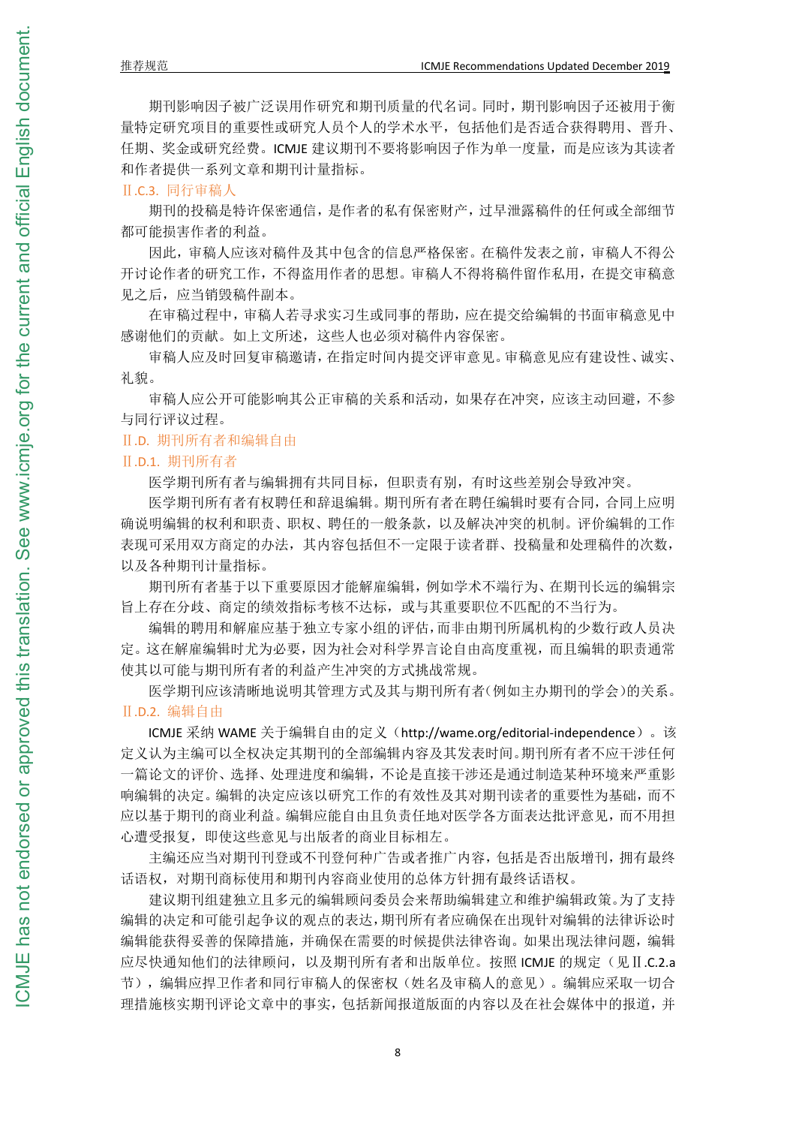期刊影响因子被广泛误用作研究和期刊质量的代名词。同时,期刊影响因子还被用于衡 量特定研究项目的重要性或研究人员个人的学术水平,包括他们是否适合获得聘用、晋升、 任期、奖金或研究经费。ICMJE 建议期刊不要将影响因子作为单一度量,而是应该为其读者 和作者提供一系列文章和期刊计量指标。

Ⅱ.C.3. 同行审稿人

期刊的投稿是特许保密通信,是作者的私有保密财产,过早泄露稿件的任何或全部细节 都可能损害作者的利益。

因此,审稿人应该对稿件及其中包含的信息严格保密。在稿件发表之前,审稿人不得公 开讨论作者的研究工作,不得盗用作者的思想。审稿人不得将稿件留作私用,在提交审稿意 见之后,应当销毁稿件副本。

在审稿过程中,审稿人若寻求实习生或同事的帮助,应在提交给编辑的书面审稿意见中 感谢他们的贡献。如上文所述,这些人也必须对稿件内容保密。

审稿人应及时回复审稿邀请,在指定时间内提交评审意见。审稿意见应有建设性、诚实、 礼貌。

审稿人应公开可能影响其公正审稿的关系和活动,如果存在冲突,应该主动回避,不参 与同行评议过程。

#### Ⅱ.D. 期刊所有者和编辑自由

#### Ⅱ.D.1. 期刊所有者

医学期刊所有者与编辑拥有共同目标,但职责有别,有时这些差别会导致冲突。

医学期刊所有者有权聘任和辞退编辑。期刊所有者在聘任编辑时要有合同,合同上应明 确说明编辑的权利和职责、职权、聘任的一般条款,以及解决冲突的机制。评价编辑的工作 表现可采用双方商定的办法,其内容包括但不一定限于读者群、投稿量和处理稿件的次数, 以及各种期刊计量指标。

期刊所有者基于以下重要原因才能解雇编辑,例如学术不端行为、在期刊长远的编辑宗 旨上存在分歧、商定的绩效指标考核不达标,或与其重要职位不匹配的不当行为。

编辑的聘用和解雇应基于独立专家小组的评估,而非由期刊所属机构的少数行政人员决 定。这在解雇编辑时尤为必要,因为社会对科学界言论自由高度重视,而且编辑的职责通常 使其以可能与期刊所有者的利益产生冲突的方式挑战常规。

医学期刊应该清晰地说明其管理方式及其与期刊所有者(例如主办期刊的学会)的关系。 Ⅱ.D.2. 编辑自由

ICMJE 采纳 WAME 关于编辑自由的定义(http://wame.org/editorial-independence)。该 定义认为主编可以全权决定其期刊的全部编辑内容及其发表时间。期刊所有者不应干涉任何 一篇论文的评价、选择、处理进度和编辑,不论是直接干涉还是通过制造某种环境来严重影 响编辑的决定。编辑的决定应该以研究工作的有效性及其对期刊读者的重要性为基础,而不 应以基于期刊的商业利益。编辑应能自由且负责任地对医学各方面表达批评意见,而不用担 心遭受报复,即使这些意见与出版者的商业目标相左。

主编还应当对期刊刊登或不刊登何种广告或者推广内容,包括是否出版增刊,拥有最终 话语权,对期刊商标使用和期刊内容商业使用的总体方针拥有最终话语权。

建议期刊组建独立且多元的编辑顾问委员会来帮助编辑建立和维护编辑政策。为了支持 编辑的决定和可能引起争议的观点的表达,期刊所有者应确保在出现针对编辑的法律诉讼时 编辑能获得妥善的保障措施,并确保在需要的时候提供法律咨询。如果出现法律问题,编辑 应尽快通知他们的法律顾问,以及期刊所有者和出版单位。按照 ICMJE 的规定(见Ⅱ.C.2.a 节),编辑应捍卫作者和同行审稿人的保密权(姓名及审稿人的意见)。编辑应采取一切合 理措施核实期刊评论文章中的事实,包括新闻报道版面的内容以及在社会媒体中的报道,并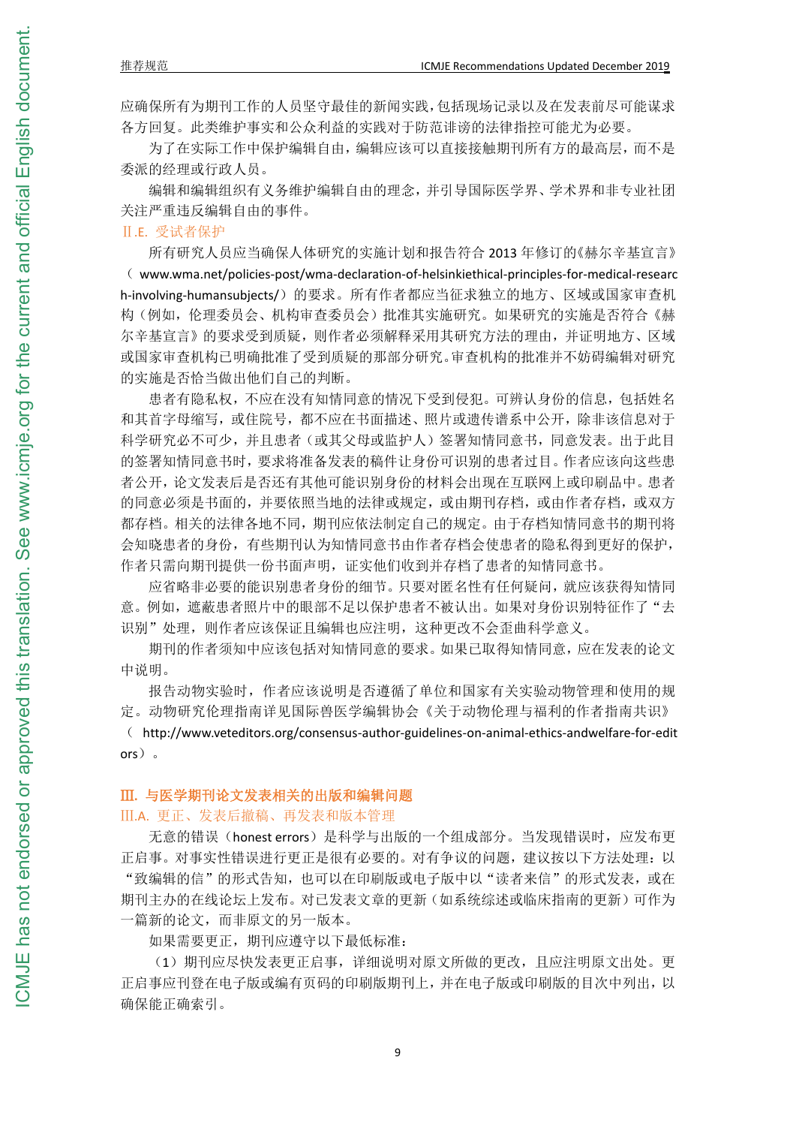应确保所有为期刊工作的人员坚守最佳的新闻实践,包括现场记录以及在发表前尽可能谋求 各方回复。此类维护事实和公众利益的实践对于防范诽谤的法律指控可能尤为必要。

为了在实际工作中保护编辑自由,编辑应该可以直接接触期刊所有方的最高层,而不是 委派的经理或行政人员。

编辑和编辑组织有义务维护编辑自由的理念,并引导国际医学界、学术界和非专业社团 关注严重违反编辑自由的事件。

#### Ⅱ.E. 受试者保护

所有研究人员应当确保人体研究的实施计划和报告符合 2013 年修订的《赫尔辛基宣言》 ( www.wma.net/policies-post/wma-declaration-of-helsinkiethical-principles-for-medical-researc h-involving-humansubjects/)的要求。所有作者都应当征求独立的地方、区域或国家审查机 构(例如,伦理委员会、机构审查委员会)批准其实施研究。如果研究的实施是否符合《赫 尔辛基宣言》的要求受到质疑,则作者必须解释采用其研究方法的理由,并证明地方、区域 或国家审查机构已明确批准了受到质疑的那部分研究。审查机构的批准并不妨碍编辑对研究 的实施是否恰当做出他们自己的判断。

患者有隐私权,不应在没有知情同意的情况下受到侵犯。可辨认身份的信息,包括姓名 和其首字母缩写,或住院号,都不应在书面描述、照片或遗传谱系中公开,除非该信息对于 科学研究必不可少,并且患者(或其父母或监护人)签署知情同意书,同意发表。出于此目 的签署知情同意书时,要求将准备发表的稿件让身份可识别的患者过目。作者应该向这些患 者公开,论文发表后是否还有其他可能识别身份的材料会出现在互联网上或印刷品中。患者 的同意必须是书面的,并要依照当地的法律或规定,或由期刊存档,或由作者存档,或双方 都存档。相关的法律各地不同,期刊应依法制定自己的规定。由于存档知情同意书的期刊将 会知晓患者的身份,有些期刊认为知情同意书由作者存档会使患者的隐私得到更好的保护, 作者只需向期刊提供一份书面声明,证实他们收到并存档了患者的知情同意书。

应省略非必要的能识别患者身份的细节。只要对匿名性有任何疑问,就应该获得知情同 意。例如,遮蔽患者照片中的眼部不足以保护患者不被认出。如果对身份识别特征作了"去 识别"处理,则作者应该保证且编辑也应注明,这种更改不会歪曲科学意义。

期刊的作者须知中应该包括对知情同意的要求。如果已取得知情同意,应在发表的论文 中说明。

报告动物实验时,作者应该说明是否遵循了单位和国家有关实验动物管理和使用的规 定。动物研究伦理指南详见国际兽医学编辑协会《关于动物伦理与福利的作者指南共识》

( http://www.veteditors.org/consensus-author-guidelines-on-animal-ethics-andwelfare-for-edit ors)。

#### Ⅲ**.** 与医学期刊论文发表相关的出版和编辑问题

## Ⅲ.A. 更正、发表后撤稿、再发表和版本管理

无意的错误(honest errors)是科学与出版的一个组成部分。当发现错误时,应发布更 正启事。对事实性错误进行更正是很有必要的。对有争议的问题,建议按以下方法处理:以 "致编辑的信"的形式告知,也可以在印刷版或电子版中以"读者来信"的形式发表,或在 期刊主办的在线论坛上发布。对已发表文章的更新(如系统综述或临床指南的更新)可作为 一篇新的论文,而非原文的另一版本。

如果需要更正,期刊应遵守以下最低标准:

(1)期刊应尽快发表更正启事,详细说明对原文所做的更改,且应注明原文出处。更 正启事应刊登在电子版或编有页码的印刷版期刊上,并在电子版或印刷版的目次中列出,以 确保能正确索引。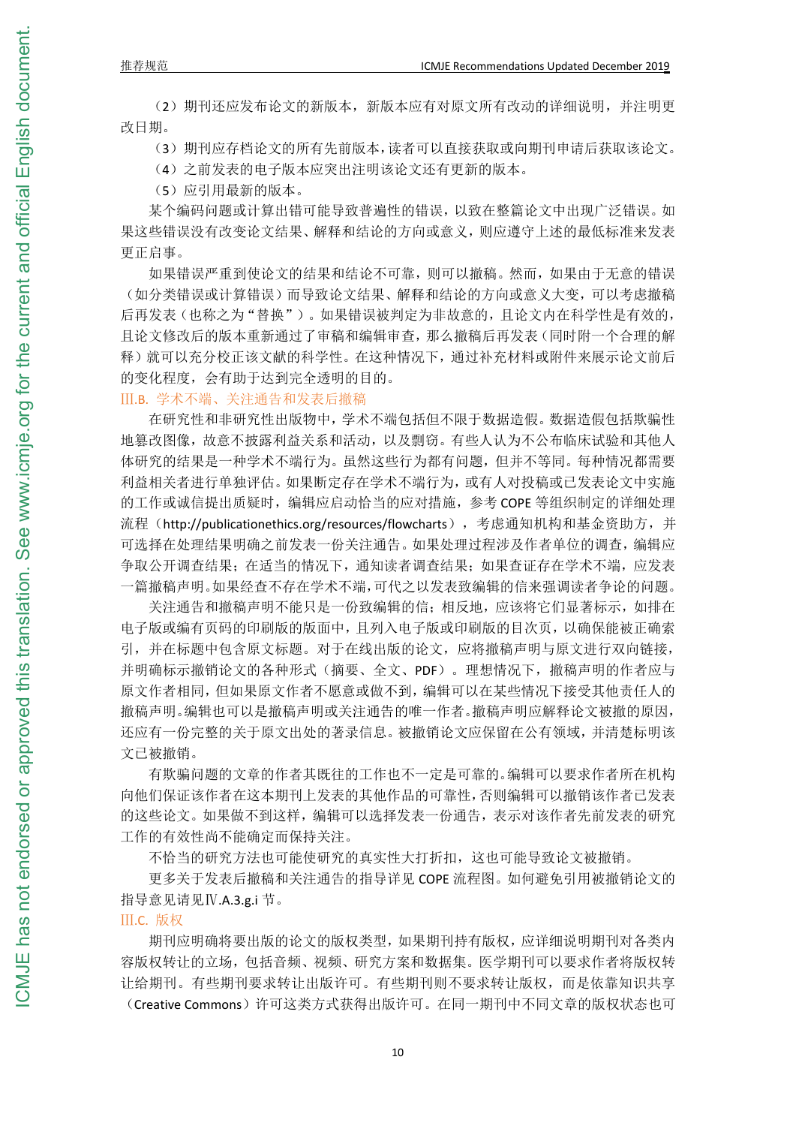(2)期刊还应发布论文的新版本,新版本应有对原文所有改动的详细说明,并注明更 改日期。

(3)期刊应存档论文的所有先前版本,读者可以直接获取或向期刊申请后获取该论文。

(4)之前发表的电子版本应突出注明该论文还有更新的版本。

(5)应引用最新的版本。

某个编码问题或计算出错可能导致普遍性的错误,以致在整篇论文中出现广泛错误。如 果这些错误没有改变论文结果、解释和结论的方向或意义,则应遵守上述的最低标准来发表 更正启事。

如果错误严重到使论文的结果和结论不可靠,则可以撤稿。然而,如果由于无意的错误 (如分类错误或计算错误)而导致论文结果、解释和结论的方向或意义大变,可以考虑撤稿 后再发表(也称之为"替换")。如果错误被判定为非故意的,且论文内在科学性是有效的, 且论文修改后的版本重新通过了审稿和编辑审查,那么撤稿后再发表(同时附一个合理的解 释)就可以充分校正该文献的科学性。在这种情况下,通过补充材料或附件来展示论文前后 的变化程度,会有助于达到完全透明的目的。

Ⅲ.B. 学术不端、关注通告和发表后撤稿

在研究性和非研究性出版物中,学术不端包括但不限于数据造假。数据造假包括欺骗性 地篡改图像,故意不披露利益关系和活动,以及剽窃。有些人认为不公布临床试验和其他人 体研究的结果是一种学术不端行为。虽然这些行为都有问题,但并不等同。每种情况都需要 利益相关者进行单独评估。如果断定存在学术不端行为,或有人对投稿或已发表论文中实施 的工作或诚信提出质疑时,编辑应启动恰当的应对措施,参考 COPE 等组织制定的详细处理 流程(http://publicationethics.org/resources/flowcharts),考虑通知机构和基金资助方,并 可选择在处理结果明确之前发表一份关注通告。如果处理过程涉及作者单位的调查,编辑应 争取公开调查结果;在适当的情况下,通知读者调查结果;如果查证存在学术不端,应发表 一篇撤稿声明。如果经查不存在学术不端,可代之以发表致编辑的信来强调读者争论的问题。

关注通告和撤稿声明不能只是一份致编辑的信;相反地,应该将它们显著标示,如排在 电子版或编有页码的印刷版的版面中,且列入电子版或印刷版的目次页,以确保能被正确索 引,并在标题中包含原文标题。对于在线出版的论文,应将撤稿声明与原文进行双向链接, 并明确标示撤销论文的各种形式(摘要、全文、PDF)。理想情况下,撤稿声明的作者应与 原文作者相同,但如果原文作者不愿意或做不到,编辑可以在某些情况下接受其他责任人的 撤稿声明。编辑也可以是撤稿声明或关注通告的唯一作者。撤稿声明应解释论文被撤的原因, 还应有一份完整的关于原文出处的著录信息。被撤销论文应保留在公有领域,并清楚标明该 文已被撤销。

有欺骗问题的文章的作者其既往的工作也不一定是可靠的。编辑可以要求作者所在机构 向他们保证该作者在这本期刊上发表的其他作品的可靠性,否则编辑可以撤销该作者已发表 的这些论文。如果做不到这样,编辑可以选择发表一份通告,表示对该作者先前发表的研究 工作的有效性尚不能确定而保持关注。

不恰当的研究方法也可能使研究的真实性大打折扣,这也可能导致论文被撤销。

更多关于发表后撤稿和关注通告的指导详见 COPE 流程图。如何避免引用被撤销论文的 指导意见请见Ⅳ.A.3.g.i 节。

## Ⅲ.C. 版权

期刊应明确将要出版的论文的版权类型,如果期刊持有版权,应详细说明期刊对各类内 容版权转让的立场,包括音频、视频、研究方案和数据集。医学期刊可以要求作者将版权转 让给期刊。有些期刊要求转让出版许可。有些期刊则不要求转让版权,而是依靠知识共享 (Creative Commons)许可这类方式获得出版许可。在同一期刊中不同文章的版权状态也可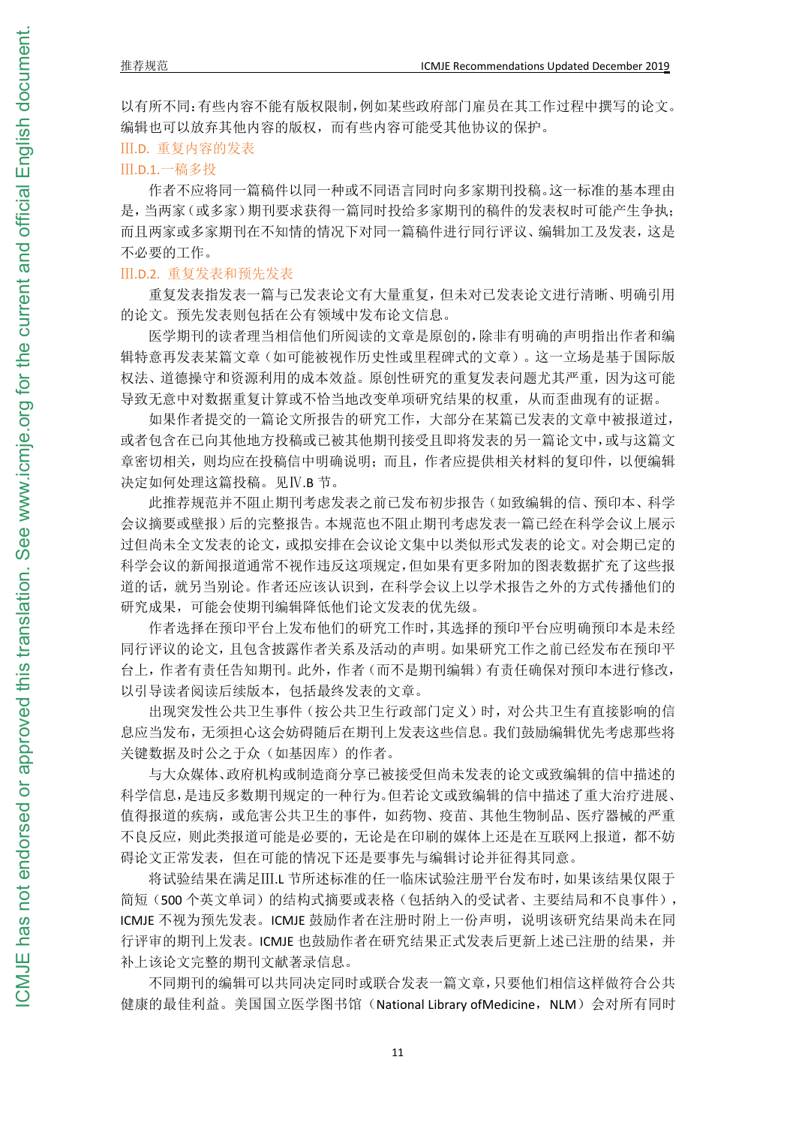以有所不同:有些内容不能有版权限制,例如某些政府部门雇员在其工作过程中撰写的论文。 编辑也可以放弃其他内容的版权,而有些内容可能受其他协议的保护。

Ⅲ.D. 重复内容的发表

## Ⅲ.D.1.一稿多投

作者不应将同一篇稿件以同一种或不同语言同时向多家期刊投稿。这一标准的基本理由 是,当两家(或多家)期刊要求获得一篇同时投给多家期刊的稿件的发表权时可能产生争执; 而且两家或多家期刊在不知情的情况下对同一篇稿件进行同行评议、编辑加工及发表,这是 不必要的工作。

## Ⅲ.D.2. 重复发表和预先发表

重复发表指发表一篇与已发表论文有大量重复,但未对已发表论文进行清晰、明确引用 的论文。预先发表则包括在公有领域中发布论文信息。

医学期刊的读者理当相信他们所阅读的文章是原创的,除非有明确的声明指出作者和编 辑特意再发表某篇文章(如可能被视作历史性或里程碑式的文章)。这一立场是基于国际版 权法、道德操守和资源利用的成本效益。原创性研究的重复发表问题尤其严重,因为这可能 导致无意中对数据重复计算或不恰当地改变单项研究结果的权重,从而歪曲现有的证据。

如果作者提交的一篇论文所报告的研究工作,大部分在某篇已发表的文章中被报道过, 或者包含在已向其他地方投稿或已被其他期刊接受且即将发表的另一篇论文中,或与这篇文 章密切相关,则均应在投稿信中明确说明;而且,作者应提供相关材料的复印件,以便编辑 决定如何处理这篇投稿。见Ⅳ.B 节。

此推荐规范并不阻止期刊考虑发表之前已发布初步报告(如致编辑的信、预印本、科学 会议摘要或壁报)后的完整报告。本规范也不阻止期刊考虑发表一篇已经在科学会议上展示 过但尚未全文发表的论文,或拟安排在会议论文集中以类似形式发表的论文。对会期已定的 科学会议的新闻报道通常不视作违反这项规定,但如果有更多附加的图表数据扩充了这些报 道的话,就另当别论。作者还应该认识到,在科学会议上以学术报告之外的方式传播他们的 研究成果,可能会使期刊编辑降低他们论文发表的优先级。

作者选择在预印平台上发布他们的研究工作时,其选择的预印平台应明确预印本是未经 同行评议的论文,且包含披露作者关系及活动的声明。如果研究工作之前已经发布在预印平 台上,作者有责任告知期刊。此外,作者(而不是期刊编辑)有责任确保对预印本进行修改, 以引导读者阅读后续版本,包括最终发表的文章。

出现突发性公共卫生事件(按公共卫生行政部门定义)时,对公共卫生有直接影响的信 息应当发布,无须担心这会妨碍随后在期刊上发表这些信息。我们鼓励编辑优先考虑那些将 关键数据及时公之于众(如基因库)的作者。

与大众媒体、政府机构或制造商分享已被接受但尚未发表的论文或致编辑的信中描述的 科学信息,是违反多数期刊规定的一种行为。但若论文或致编辑的信中描述了重大治疗进展、 值得报道的疾病,或危害公共卫生的事件,如药物、疫苗、其他生物制品、医疗器械的严重 不良反应,则此类报道可能是必要的,无论是在印刷的媒体上还是在互联网上报道,都不妨 碍论文正常发表,但在可能的情况下还是要事先与编辑讨论并征得其同意。

将试验结果在满足Ⅲ.L 节所述标准的任一临床试验注册平台发布时,如果该结果仅限于 简短(500个英文单词)的结构式摘要或表格(包括纳入的受试者、主要结局和不良事件), ICMJE 不视为预先发表。ICMJE 鼓励作者在注册时附上一份声明, 说明该研究结果尚未在同 行评审的期刊上发表。ICMJE 也鼓励作者在研究结果正式发表后更新上述已注册的结果,并 补上该论文完整的期刊文献著录信息。

不同期刊的编辑可以共同决定同时或联合发表一篇文章,只要他们相信这样做符合公共 健康的最佳利益。美国国立医学图书馆(National Library ofMedicine, NLM)会对所有同时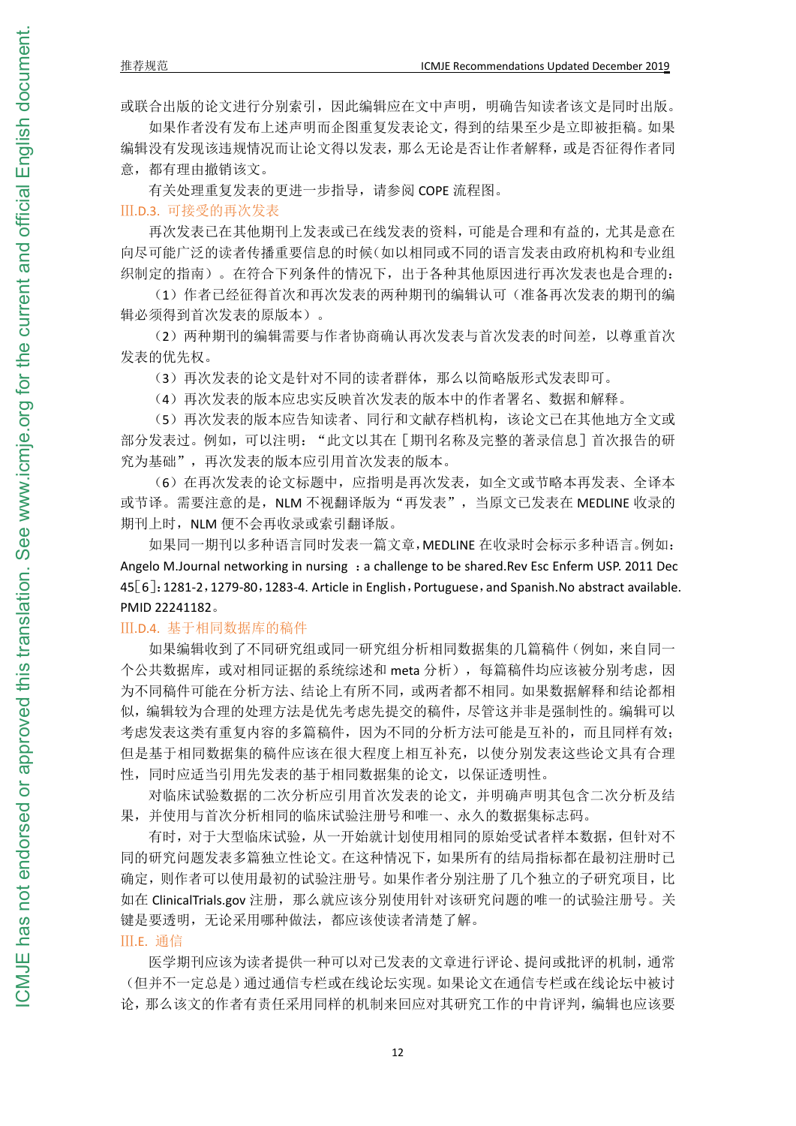或联合出版的论文进行分别索引,因此编辑应在文中声明,明确告知读者该文是同时出版。

如果作者没有发布上述声明而企图重复发表论文,得到的结果至少是立即被拒稿。如果 编辑没有发现该违规情况而让论文得以发表,那么无论是否让作者解释,或是否征得作者同 意,都有理由撤销该文。

有关处理重复发表的更进一步指导,请参阅 COPE 流程图。

## Ⅲ.D.3. 可接受的再次发表

再次发表已在其他期刊上发表或已在线发表的资料,可能是合理和有益的,尤其是意在 向尽可能广泛的读者传播重要信息的时候(如以相同或不同的语言发表由政府机构和专业组 织制定的指南)。在符合下列条件的情况下,出于各种其他原因进行再次发表也是合理的:

(1)作者已经征得首次和再次发表的两种期刊的编辑认可(准备再次发表的期刊的编 辑必须得到首次发表的原版本)。

(2)两种期刊的编辑需要与作者协商确认再次发表与首次发表的时间差,以尊重首次 发表的优先权。

(3)再次发表的论文是针对不同的读者群体,那么以简略版形式发表即可。

(4)再次发表的版本应忠实反映首次发表的版本中的作者署名、数据和解释。

(5)再次发表的版本应告知读者、同行和文献存档机构,该论文已在其他地方全文或 部分发表过。例如,可以注明: "此文以其在 [期刊名称及完整的著录信息]首次报告的研 究为基础",再次发表的版本应引用首次发表的版本。

(6)在再次发表的论文标题中,应指明是再次发表,如全文或节略本再发表、全译本 或节译。需要注意的是,NLM 不视翻译版为"再发表",当原文已发表在 MEDLINE 收录的 期刊上时, NLM 便不会再收录或索引翻译版。

如果同一期刊以多种语言同时发表一篇文章,MEDLINE 在收录时会标示多种语言。例如: Angelo M.Journal networking in nursing : a challenge to be shared.Rev Esc Enferm USP. 2011 Dec 45[6]:1281-2,1279-80,1283-4. Article in English,Portuguese,and Spanish.No abstract available. PMID 22241182。

## Ⅲ.D.4. 基于相同数据库的稿件

如果编辑收到了不同研究组或同一研究组分析相同数据集的几篇稿件(例如,来自同一 个公共数据库,或对相同证据的系统综述和 meta 分析),每篇稿件均应该被分别考虑,因 为不同稿件可能在分析方法、结论上有所不同,或两者都不相同。如果数据解释和结论都相 似,编辑较为合理的处理方法是优先考虑先提交的稿件,尽管这并非是强制性的。编辑可以 考虑发表这类有重复内容的多篇稿件,因为不同的分析方法可能是互补的,而且同样有效; 但是基于相同数据集的稿件应该在很大程度上相互补充,以使分别发表这些论文具有合理 性,同时应适当引用先发表的基于相同数据集的论文,以保证透明性。

对临床试验数据的二次分析应引用首次发表的论文,并明确声明其包含二次分析及结 果,并使用与首次分析相同的临床试验注册号和唯一、永久的数据集标志码。

有时,对于大型临床试验,从一开始就计划使用相同的原始受试者样本数据,但针对不 同的研究问题发表多篇独立性论文。在这种情况下,如果所有的结局指标都在最初注册时已 确定,则作者可以使用最初的试验注册号。如果作者分别注册了几个独立的子研究项目,比 如在 ClinicalTrials.gov 注册, 那么就应该分别使用针对该研究问题的唯一的试验注册号。关 键是要透明,无论采用哪种做法,都应该使读者清楚了解。

## Ⅲ.E. 通信

医学期刊应该为读者提供一种可以对已发表的文章进行评论、提问或批评的机制,通常 (但并不一定总是)通过通信专栏或在线论坛实现。如果论文在通信专栏或在线论坛中被讨 论,那么该文的作者有责任采用同样的机制来回应对其研究工作的中肯评判,编辑也应该要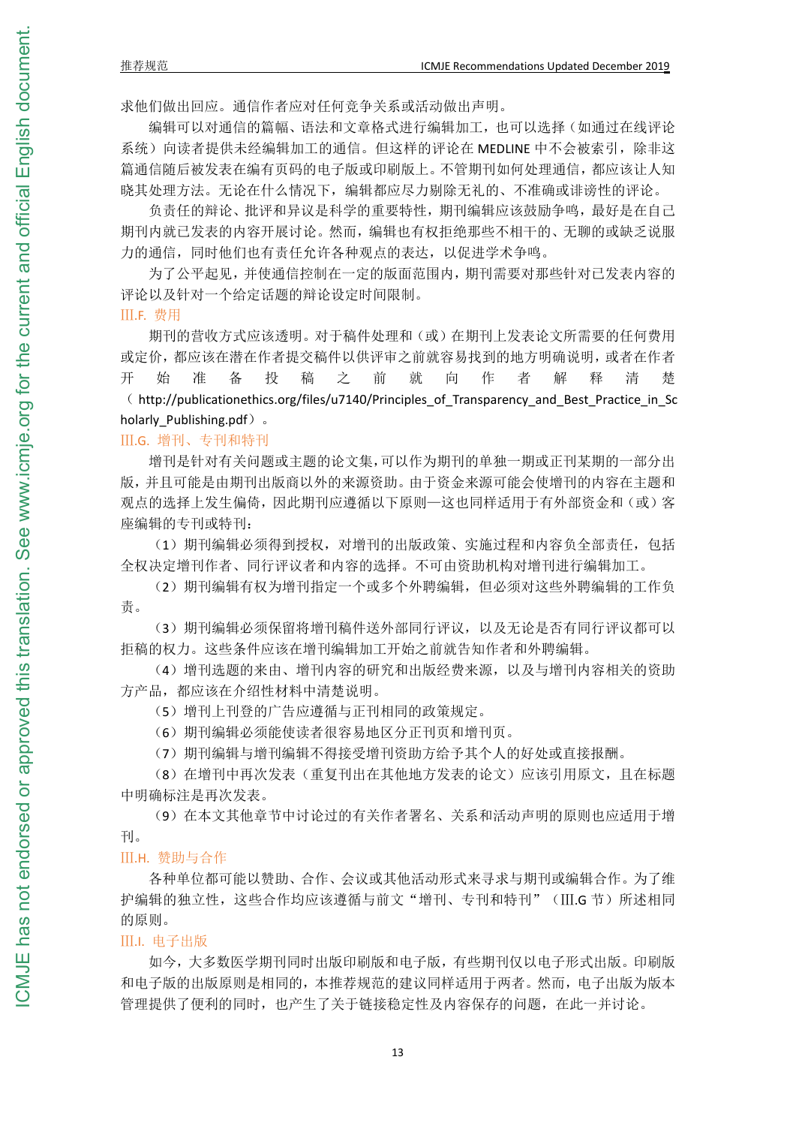求他们做出回应。通信作者应对任何竞争关系或活动做出声明。

编辑可以对通信的篇幅、语法和文章格式进行编辑加工,也可以选择(如通过在线评论 系统)向读者提供未经编辑加工的通信。但这样的评论在 MEDLINE 中不会被索引,除非这 篇通信随后被发表在编有页码的电子版或印刷版上。不管期刊如何处理通信,都应该让人知 晓其处理方法。无论在什么情况下,编辑都应尽力剔除无礼的、不准确或诽谤性的评论。

负责任的辩论、批评和异议是科学的重要特性,期刊编辑应该鼓励争鸣,最好是在自己 期刊内就已发表的内容开展讨论。然而,编辑也有权拒绝那些不相干的、无聊的或缺乏说服 力的通信,同时他们也有责任允许各种观点的表达,以促进学术争鸣。

为了公平起见,并使通信控制在一定的版面范围内,期刊需要对那些针对已发表内容的 评论以及针对一个给定话题的辩论设定时间限制。

Ⅲ.F. 费用

期刊的营收方式应该透明。对于稿件处理和(或)在期刊上发表论文所需要的任何费用 或定价,都应该在潜在作者提交稿件以供评审之前就容易找到的地方明确说明,或者在作者 开 始 准 备 投 稿 之 前 就 向 作 者 解 释 清 楚 ( http://publicationethics.org/files/u7140/Principles\_of\_Transparency\_and\_Best\_Practice\_in\_Sc holarly\_Publishing.pdf) 。

Ⅲ.G. 增刊、专刊和特刊

增刊是针对有关问题或主题的论文集,可以作为期刊的单独一期或正刊某期的一部分出 版,并且可能是由期刊出版商以外的来源资助。由于资金来源可能会使增刊的内容在主题和 观点的选择上发生偏倚,因此期刊应遵循以下原则—这也同样适用于有外部资金和(或)客 座编辑的专刊或特刊:

(1)期刊编辑必须得到授权,对增刊的出版政策、实施过程和内容负全部责任,包括 全权决定增刊作者、同行评议者和内容的选择。不可由资助机构对增刊进行编辑加工。

(2)期刊编辑有权为增刊指定一个或多个外聘编辑,但必须对这些外聘编辑的工作负 责。

(3)期刊编辑必须保留将增刊稿件送外部同行评议,以及无论是否有同行评议都可以 拒稿的权力。这些条件应该在增刊编辑加工开始之前就告知作者和外聘编辑。

(4)增刊选题的来由、增刊内容的研究和出版经费来源,以及与增刊内容相关的资助 方产品,都应该在介绍性材料中清楚说明。

(5)增刊上刊登的广告应遵循与正刊相同的政策规定。

(6)期刊编辑必须能使读者很容易地区分正刊页和增刊页。

(7)期刊编辑与增刊编辑不得接受增刊资助方给予其个人的好处或直接报酬。

(8)在增刊中再次发表(重复刊出在其他地方发表的论文)应该引用原文,且在标题 中明确标注是再次发表。

(9)在本文其他章节中讨论过的有关作者署名、关系和活动声明的原则也应适用于增 刊。

Ⅲ.H. 赞助与合作

各种单位都可能以赞助、合作、会议或其他活动形式来寻求与期刊或编辑合作。为了维 护编辑的独立性,这些合作均应该遵循与前文"增刊、专刊和特刊"(III.G 节)所述相同 的原则。

#### Ⅲ.I. 电子出版

如今,大多数医学期刊同时出版印刷版和电子版,有些期刊仅以电子形式出版。印刷版 和电子版的出版原则是相同的,本推荐规范的建议同样适用于两者。然而,电子出版为版本 管理提供了便利的同时,也产生了关于链接稳定性及内容保存的问题,在此一并讨论。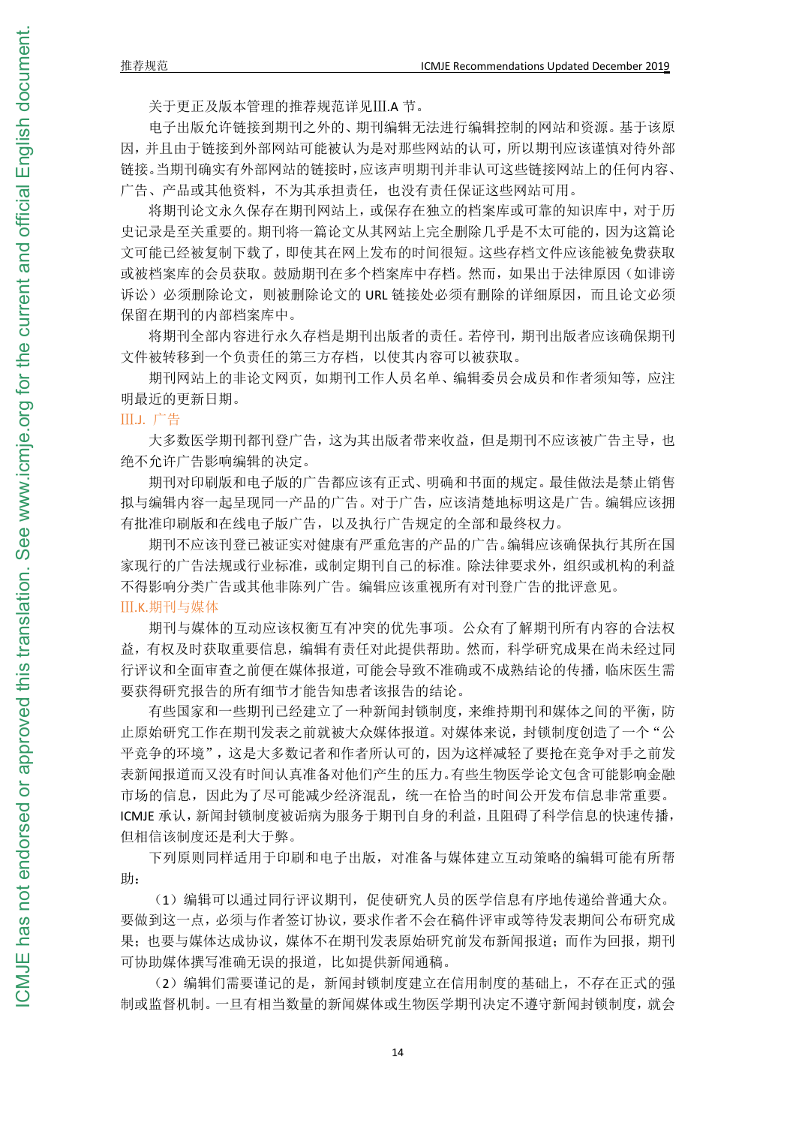CMJE has not endorsed or

关于更正及版本管理的推荐规范详见Ⅲ.A 节。

电子出版允许链接到期刊之外的、期刊编辑无法进行编辑控制的网站和资源。基于该原 因,并且由于链接到外部网站可能被认为是对那些网站的认可,所以期刊应该谨慎对待外部 链接。当期刊确实有外部网站的链接时,应该声明期刊并非认可这些链接网站上的任何内容、 广告、产品或其他资料,不为其承担责任,也没有责任保证这些网站可用。

将期刊论文永久保存在期刊网站上,或保存在独立的档案库或可靠的知识库中,对于历 史记录是至关重要的。期刊将一篇论文从其网站上完全删除几乎是不太可能的,因为这篇论 文可能已经被复制下载了,即使其在网上发布的时间很短。这些存档文件应该能被免费获取 或被档案库的会员获取。鼓励期刊在多个档案库中存档。然而,如果出于法律原因(如诽谤 诉讼)必须删除论文,则被删除论文的 URL 链接处必须有删除的详细原因,而且论文必须 保留在期刊的内部档案库中。

将期刊全部内容进行永久存档是期刊出版者的责任。若停刊,期刊出版者应该确保期刊 文件被转移到一个负责任的第三方存档,以使其内容可以被获取。

期刊网站上的非论文网页,如期刊工作人员名单、编辑委员会成员和作者须知等,应注 明最近的更新日期。

Ⅲ.J. 广告

大多数医学期刊都刊登广告,这为其出版者带来收益,但是期刊不应该被广告主导,也 绝不允许广告影响编辑的决定。

期刊对印刷版和电子版的广告都应该有正式、明确和书面的规定。最佳做法是禁止销售 拟与编辑内容一起呈现同一产品的广告。对于广告,应该清楚地标明这是广告。编辑应该拥 有批准印刷版和在线电子版广告,以及执行广告规定的全部和最终权力。

期刊不应该刊登已被证实对健康有严重危害的产品的广告。编辑应该确保执行其所在国 家现行的广告法规或行业标准,或制定期刊自己的标准。除法律要求外,组织或机构的利益 不得影响分类广告或其他非陈列广告。编辑应该重视所有对刊登广告的批评意见。 Ⅲ.K.期刊与媒体

期刊与媒体的互动应该权衡互有冲突的优先事项。公众有了解期刊所有内容的合法权 益,有权及时获取重要信息,编辑有责任对此提供帮助。然而,科学研究成果在尚未经过同 行评议和全面审查之前便在媒体报道,可能会导致不准确或不成熟结论的传播,临床医生需 要获得研究报告的所有细节才能告知患者该报告的结论。

有些国家和一些期刊已经建立了一种新闻封锁制度,来维持期刊和媒体之间的平衡,防 止原始研究工作在期刊发表之前就被大众媒体报道。对媒体来说,封锁制度创造了一个"公 平竞争的环境",这是大多数记者和作者所认可的,因为这样减轻了要抢在竞争对手之前发 表新闻报道而又没有时间认真准备对他们产生的压力。有些生物医学论文包含可能影响金融 市场的信息,因此为了尽可能减少经济混乱,统一在恰当的时间公开发布信息非常重要。 ICMJE 承认,新闻封锁制度被诟病为服务于期刊自身的利益,且阻碍了科学信息的快速传播, 但相信该制度还是利大于弊。

下列原则同样适用于印刷和电子出版,对准备与媒体建立互动策略的编辑可能有所帮  $\mathbb{B}$ :

(1)编辑可以通过同行评议期刊,促使研究人员的医学信息有序地传递给普通大众。 要做到这一点,必须与作者签订协议,要求作者不会在稿件评审或等待发表期间公布研究成 果;也要与媒体达成协议,媒体不在期刊发表原始研究前发布新闻报道;而作为回报,期刊 可协助媒体撰写准确无误的报道,比如提供新闻通稿。

(2)编辑们需要谨记的是,新闻封锁制度建立在信用制度的基础上,不存在正式的强 制或监督机制。一旦有相当数量的新闻媒体或生物医学期刊决定不遵守新闻封锁制度,就会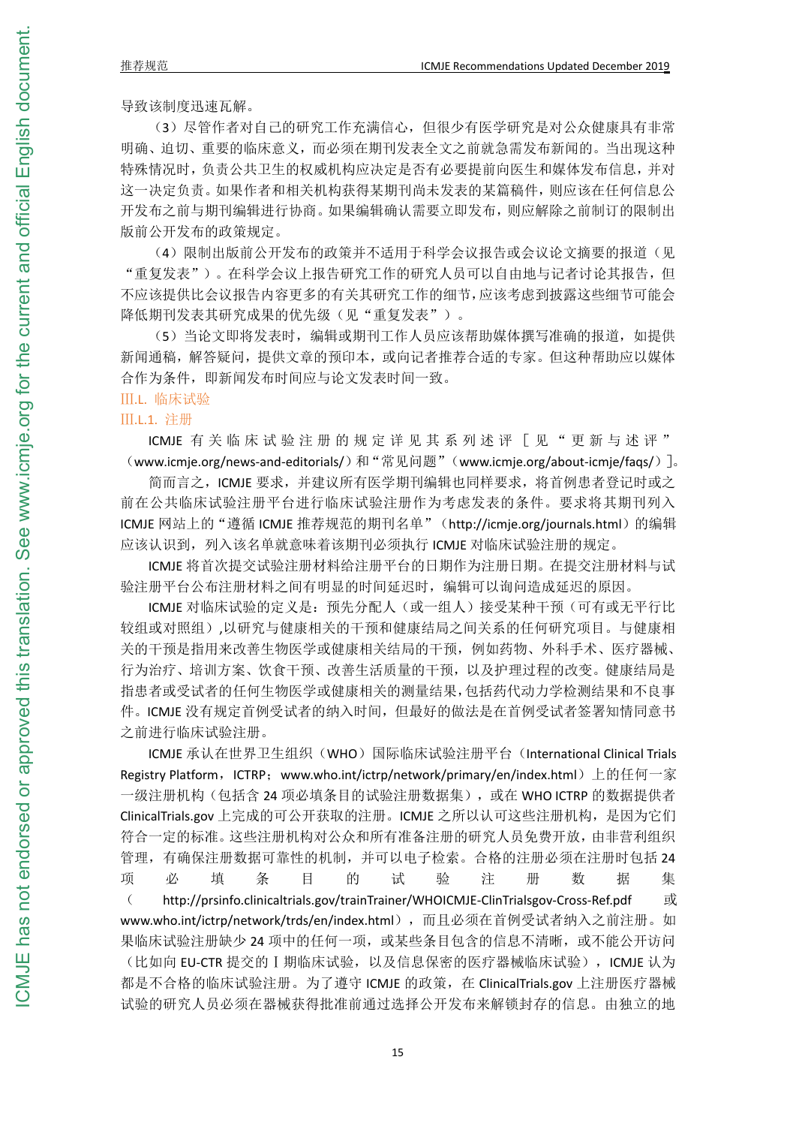导致该制度迅速瓦解。

(3)尽管作者对自己的研究工作充满信心,但很少有医学研究是对公众健康具有非常 明确、迫切、重要的临床意义,而必须在期刊发表全文之前就急需发布新闻的。当出现这种 特殊情况时,负责公共卫生的权威机构应决定是否有必要提前向医生和媒体发布信息,并对 这一决定负责。如果作者和相关机构获得某期刊尚未发表的某篇稿件,则应该在任何信息公 开发布之前与期刊编辑进行协商。如果编辑确认需要立即发布,则应解除之前制订的限制出 版前公开发布的政策规定。

(4) 限制出版前公开发布的政策并不适用于科学会议报告或会议论文摘要的报道(见 "重复发表")。在科学会议上报告研究工作的研究人员可以自由地与记者讨论其报告,但 不应该提供比会议报告内容更多的有关其研究工作的细节,应该考虑到披露这些细节可能会 降低期刊发表其研究成果的优先级(见"重复发表")。

(5)当论文即将发表时,编辑或期刊工作人员应该帮助媒体撰写准确的报道,如提供 新闻通稿,解答疑问,提供文章的预印本,或向记者推荐合适的专家。但这种帮助应以媒体 合作为条件,即新闻发布时间应与论文发表时间一致。

## Ⅲ.L. 临床试验

## Ⅲ.L.1. 注册

ICMJE 有 关 临 床 试 验 注 册 的 规 定 详 见 其 系 列 述 评 [ 见 " 更 新 与 述 评 "  $(www.icmie.org/news-and-editorials/)\,$ 和"常见问题" $(www.icmie.org/about-icmie/fags/$  ]。

简而言之,ICMJE 要求,并建议所有医学期刊编辑也同样要求,将首例患者登记时或之 前在公共临床试验注册平台进行临床试验注册作为考虑发表的条件。要求将其期刊列入 ICMJE 网站上的"遵循 ICMJE 推荐规范的期刊名单"(http://icmje.org/journals.html)的编辑 应该认识到,列入该名单就意味着该期刊必须执行 ICMJE 对临床试验注册的规定。

ICMJE 将首次提交试验注册材料给注册平台的日期作为注册日期。在提交注册材料与试 验注册平台公布注册材料之间有明显的时间延迟时,编辑可以询问造成延迟的原因。

ICMJE 对临床试验的定义是:预先分配人(或一组人)接受某种干预(可有或无平行比 较组或对照组),以研究与健康相关的干预和健康结局之间关系的任何研究项目。与健康相 关的干预是指用来改善生物医学或健康相关结局的干预,例如药物、外科手术、医疗器械、 行为治疗、培训方案、饮食干预、改善生活质量的干预,以及护理过程的改变。健康结局是 指患者或受试者的任何生物医学或健康相关的测量结果,包括药代动力学检测结果和不良事 件。ICMJE 没有规定首例受试者的纳入时间,但最好的做法是在首例受试者签署知情同意书 之前进行临床试验注册。

ICMJE 承认在世界卫生组织(WHO)国际临床试验注册平台(International Clinical Trials Registry Platform, ICTRP; www.who.int/ictrp/network/primary/en/index.html) 上的任何一家 一级注册机构(包括含 24 项必填条目的试验注册数据集), 或在 WHO ICTRP 的数据提供者 ClinicalTrials.gov 上完成的可公开获取的注册。ICMJE 之所以认可这些注册机构,是因为它们 符合一定的标准。这些注册机构对公众和所有准备注册的研究人员免费开放,由非营利组织 管理,有确保注册数据可靠性的机制,并可以电子检索。合格的注册必须在注册时包括 24 项 必 填 条 目 的 试 验 注 册 数 据 集 ( http://prsinfo.clinicaltrials.gov/trainTrainer/WHOICMJE-ClinTrialsgov-Cross-Ref.pdf 或 www.who.int/ictrp/network/trds/en/index.html),而且必须在首例受试者纳入之前注册。如 果临床试验注册缺少 24 项中的任何一项,或某些条目包含的信息不清晰,或不能公开访问 (比如向 EU-CTR 提交的 I 期临床试验, 以及信息保密的医疗器械临床试验), ICMJE 认为 都是不合格的临床试验注册。为了遵守 ICMJE 的政策, 在 ClinicalTrials.gov 上注册医疗器械 试验的研究人员必须在器械获得批准前通过选择公开发布来解锁封存的信息。由独立的地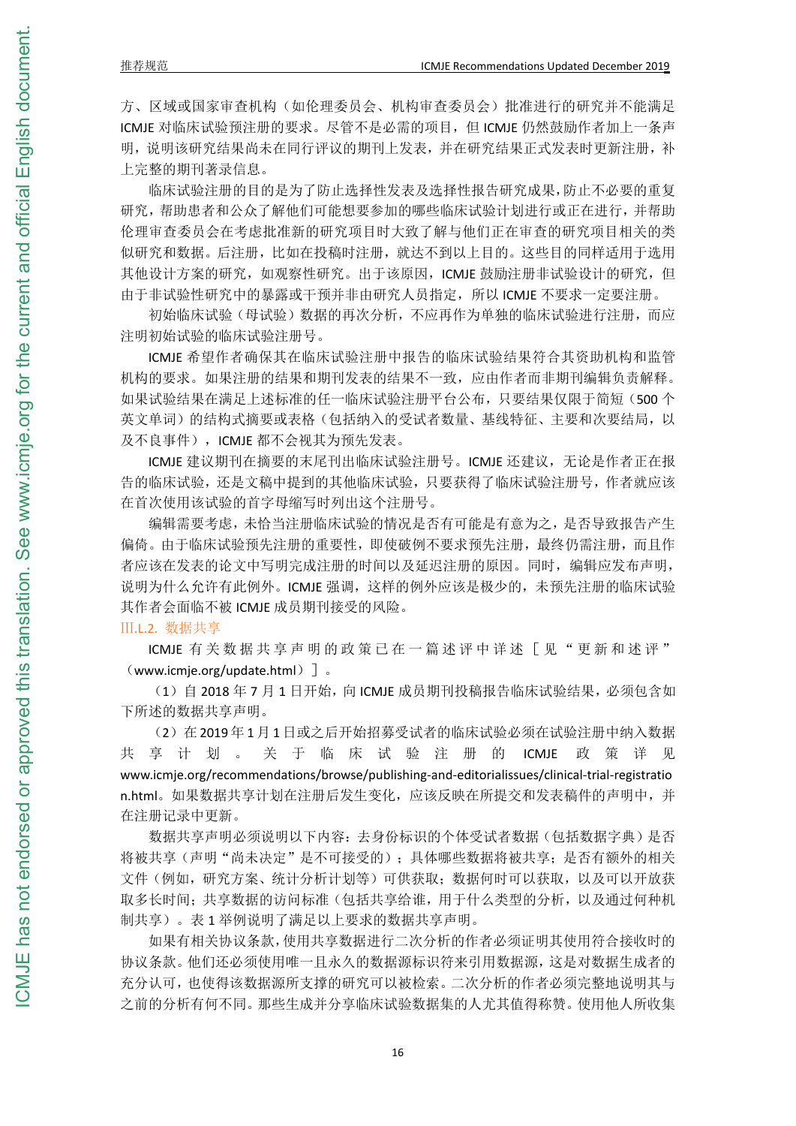方、区域或国家审查机构(如伦理委员会、机构审查委员会)批准进行的研究并不能满足 ICMJE 对临床试验预注册的要求。尽管不是必需的项目,但 ICMJE 仍然鼓励作者加上一条声 明,说明该研究结果尚未在同行评议的期刊上发表,并在研究结果正式发表时更新注册,补 上完整的期刊著录信息。

临床试验注册的目的是为了防止选择性发表及选择性报告研究成果,防止不必要的重复 研究,帮助患者和公众了解他们可能想要参加的哪些临床试验计划进行或正在进行,并帮助 伦理审查委员会在考虑批准新的研究项目时大致了解与他们正在审查的研究项目相关的类 似研究和数据。后注册,比如在投稿时注册,就达不到以上目的。这些目的同样适用于选用 其他设计方案的研究,如观察性研究。出于该原因,ICMJE 鼓励注册非试验设计的研究,但 由于非试验性研究中的暴露或干预并非由研究人员指定,所以 ICMJE 不要求一定要注册。

初始临床试验(母试验)数据的再次分析,不应再作为单独的临床试验进行注册,而应 注明初始试验的临床试验注册号。

ICMJE 希望作者确保其在临床试验注册中报告的临床试验结果符合其资助机构和监管 机构的要求。如果注册的结果和期刊发表的结果不一致,应由作者而非期刊编辑负责解释。 如果试验结果在满足上述标准的任一临床试验注册平台公布,只要结果仅限于简短(500 个 英文单词)的结构式摘要或表格(包括纳入的受试者数量、基线特征、主要和次要结局,以 及不良事件), ICMJE 都不会视其为预先发表。

ICMJE 建议期刊在摘要的末尾刊出临床试验注册号。ICMJE 还建议,无论是作者正在报 告的临床试验,还是文稿中提到的其他临床试验,只要获得了临床试验注册号,作者就应该 在首次使用该试验的首字母缩写时列出这个注册号。

编辑需要考虑,未恰当注册临床试验的情况是否有可能是有意为之,是否导致报告产生 偏倚。由于临床试验预先注册的重要性,即使破例不要求预先注册,最终仍需注册,而且作 者应该在发表的论文中写明完成注册的时间以及延迟注册的原因。同时,编辑应发布声明, 说明为什么允许有此例外。ICMJE 强调,这样的例外应该是极少的,未预先注册的临床试验 其作者会面临不被 ICMJE 成员期刊接受的风险。

Ⅲ.L.2. 数据共享

ICMJE 有关数据共享声明的政策已在一篇述评中详述「见"更新和述评" (www.icmje.org/update.html)]。

(1) 自 2018 年 7 月 1 日开始, 向 ICMJE 成员期刊投稿报告临床试验结果, 必须包含如 下所述的数据共享声明。

(2)在 2019 年 1 月 1 日或之后开始招募受试者的临床试验必须在试验注册中纳入数据 共 享 计 划 。 关 于 临 床 试 验 注 册 的 ICMJE 政 策 详 见 www.icmje.org/recommendations/browse/publishing-and-editorialissues/clinical-trial-registratio n.html。如果数据共享计划在注册后发生变化,应该反映在所提交和发表稿件的声明中,并 在注册记录中更新。

数据共享声明必须说明以下内容:去身份标识的个体受试者数据(包括数据字典)是否 将被共享(声明"尚未决定"是不可接受的);具体哪些数据将被共享;是否有额外的相关 文件(例如,研究方案、统计分析计划等)可供获取;数据何时可以获取,以及可以开放获 取多长时间;共享数据的访问标准(包括共享给谁,用于什么类型的分析,以及通过何种机 制共享)。表 1 举例说明了满足以上要求的数据共享声明。

如果有相关协议条款,使用共享数据进行二次分析的作者必须证明其使用符合接收时的 协议条款。他们还必须使用唯一且永久的数据源标识符来引用数据源,这是对数据生成者的 充分认可,也使得该数据源所支撑的研究可以被检索。二次分析的作者必须完整地说明其与 之前的分析有何不同。那些生成并分享临床试验数据集的人尤其值得称赞。使用他人所收集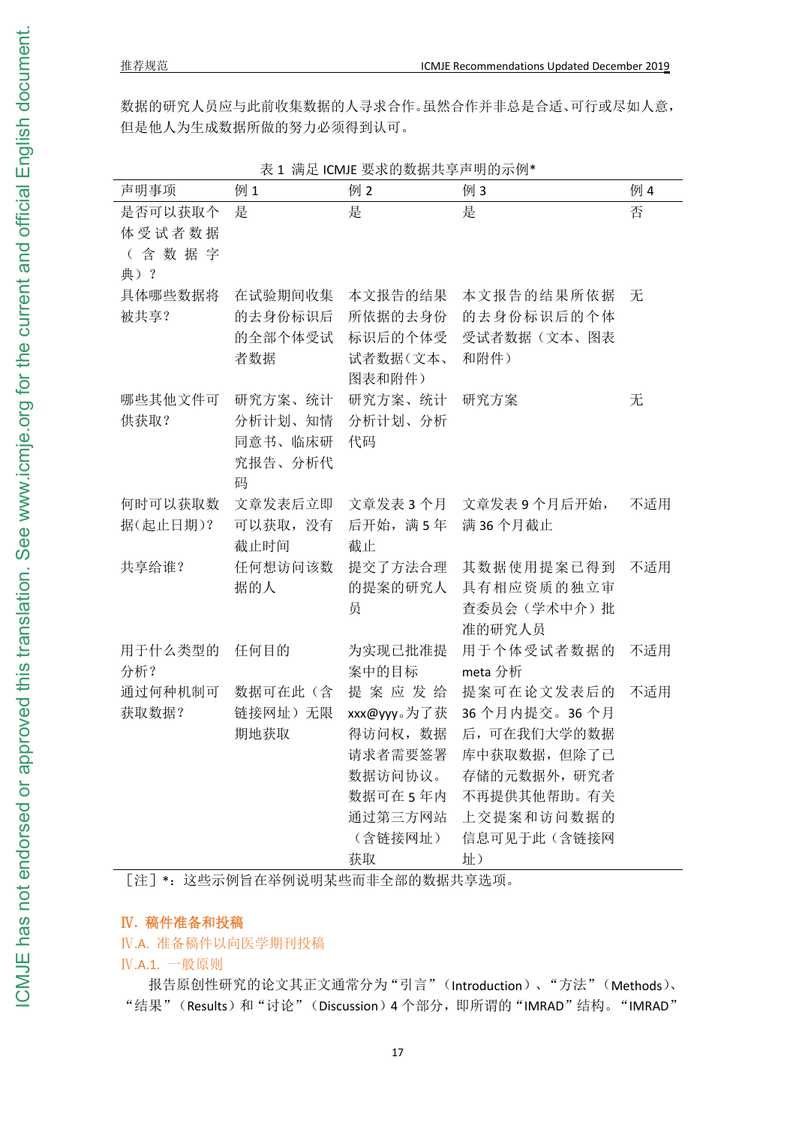| 表 1 满足 ICMJE 要求的数据共享声明的示例*        |                                               |                                                     |                                                                                                                                                                                              |     |
|-----------------------------------|-----------------------------------------------|-----------------------------------------------------|----------------------------------------------------------------------------------------------------------------------------------------------------------------------------------------------|-----|
| 声明事项                              | 例1                                            | 例2                                                  | 例3                                                                                                                                                                                           | 例 4 |
| 是否可以获取个<br>体受试者数据<br>(含数据字<br>典)? | 是                                             | 是                                                   | 是                                                                                                                                                                                            | 否   |
| 具体哪些数据将<br>被共享?                   | 在试验期间收集<br>的去身份标识后<br>的全部个体受试<br>者数据          | 本文报告的结果<br>所依据的去身份<br>标识后的个体受<br>试者数据(文本、<br>图表和附件) | 本文报告的结果所依据<br>的去身份标识后的个体<br>受试者数据(文本、图表<br>和附件)                                                                                                                                              | 无   |
| 哪些其他文件可<br>供获取?                   | 研究方案、统计<br>分析计划、知情<br>同意书、临床研<br>究报告、分析代<br>码 | 研究方案、统计<br>分析计划、分析<br>代码                            | 研究方案                                                                                                                                                                                         | 无   |
| 何时可以获取数<br>据(起止日期)?               | 文章发表后立即<br>可以获取,没有<br>截止时间                    | 后开始,满5年 满36个月截止<br>截止                               | 文章发表 3 个月 文章发表 9 个月后开始,                                                                                                                                                                      | 不适用 |
| 共享给谁?                             | 任何想访问该数<br>据的人                                | 提交了方法合理<br>员                                        | 其数据使用提案已得到<br>的提案的研究人 具有相应资质的独立审<br>查委员会(学术中介)批<br>准的研究人员                                                                                                                                    | 不适用 |
| 用于什么类型的 任何目的<br>分析?               |                                               | 为实现已批准提<br>案中的目标                                    | 用于个体受试者数据的 不适用<br>meta 分析                                                                                                                                                                    |     |
| 通过何种机制可<br>获取数据?                  | 期地获取                                          | 请求者需要签署<br>数据访问协议。<br>(含链接网址)<br>获取                 | 数据可在此 (含) 提 案 应 发 给 提案可在论文发表后的<br>链接网址)无限 xxx@yyy。为了获 36个月内提交。36个月<br>得访问权, 数据 后, 可在我们大学的数据<br>库中获取数据,但除了已<br>存储的元数据外, 研究者<br>数据可在5年内 不再提供其他帮助。有关<br>通过第三方网站 上交提案和访问数据的<br>信息可见于此(含链接网<br>址) | 不适用 |

表 1 满足 ICMJE 要求的数据共享声明的示例\*

## Ⅳ**.** 稿件准备和投稿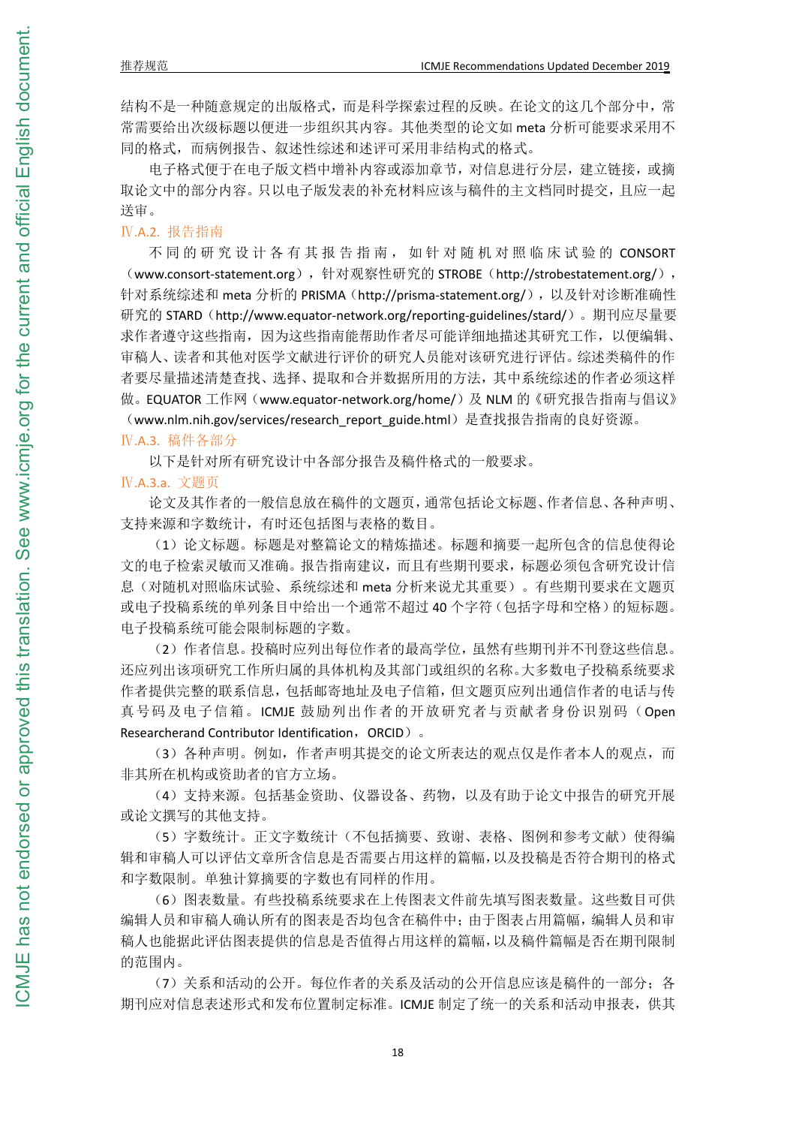结构不是一种随意规定的出版格式,而是科学探索过程的反映。在论文的这几个部分中,常 常需要给出次级标题以便进一步组织其内容。其他类型的论文如 meta 分析可能要求采用不 同的格式,而病例报告、叙述性综述和述评可采用非结构式的格式。

电子格式便于在电子版文档中增补内容或添加章节,对信息进行分层,建立链接,或摘 取论文中的部分内容。只以电子版发表的补充材料应该与稿件的主文档同时提交,且应一起 送审。

Ⅳ.A.2. 报告指南

不同的研究设计各有其报告指南, 如针对随机对照临床试验的 CONSORT (www.consort-statement.org),针对观察性研究的 STROBE(http://strobestatement.org/), 针对系统综述和 meta 分析的 PRISMA (http://prisma-statement.org/),以及针对诊断准确性 研究的 STARD (http://www.equator-network.org/reporting-guidelines/stard/)。期刊应尽量要 求作者遵守这些指南,因为这些指南能帮助作者尽可能详细地描述其研究工作,以便编辑、 审稿人、读者和其他对医学文献进行评价的研究人员能对该研究进行评估。综述类稿件的作 者要尽量描述清楚查找、选择、提取和合并数据所用的方法,其中系统综述的作者必须这样 做。EQUATOR 工作网(www.equator-network.org/home/)及 NLM 的《研究报告指南与倡议》 (www.nlm.nih.gov/services/research\_report\_guide.html)是查找报告指南的良好资源。

Ⅳ.A.3. 稿件各部分

以下是针对所有研究设计中各部分报告及稿件格式的一般要求。

Ⅳ.A.3.a. 文题页

论文及其作者的一般信息放在稿件的文题页,通常包括论文标题、作者信息、各种声明、 支持来源和字数统计,有时还包括图与表格的数目。

(1)论文标题。标题是对整篇论文的精炼描述。标题和摘要一起所包含的信息使得论 文的电子检索灵敏而又准确。报告指南建议,而且有些期刊要求,标题必须包含研究设计信 息(对随机对照临床试验、系统综述和 meta 分析来说尤其重要)。有些期刊要求在文题页 或电子投稿系统的单列条目中给出一个通常不超过 40 个字符(包括字母和空格)的短标题。 电子投稿系统可能会限制标题的字数。

(2)作者信息。投稿时应列出每位作者的最高学位,虽然有些期刊并不刊登这些信息。 还应列出该项研究工作所归属的具体机构及其部门或组织的名称。大多数电子投稿系统要求 作者提供完整的联系信息,包括邮寄地址及电子信箱,但文题页应列出通信作者的电话与传 真号码及电子信箱。ICMJE 鼓励列出作者的开放研究者与贡献者身份识别码(Open Researcherand Contributor Identification, ORCID)。

(3)各种声明。例如,作者声明其提交的论文所表达的观点仅是作者本人的观点,而 非其所在机构或资助者的官方立场。

(4)支持来源。包括基金资助、仪器设备、药物,以及有助于论文中报告的研究开展 或论文撰写的其他支持。

(5)字数统计。正文字数统计(不包括摘要、致谢、表格、图例和参考文献)使得编 辑和审稿人可以评估文章所含信息是否需要占用这样的篇幅,以及投稿是否符合期刊的格式 和字数限制。单独计算摘要的字数也有同样的作用。

(6)图表数量。有些投稿系统要求在上传图表文件前先填写图表数量。这些数目可供 编辑人员和审稿人确认所有的图表是否均包含在稿件中;由于图表占用篇幅,编辑人员和审 稿人也能据此评估图表提供的信息是否值得占用这样的篇幅,以及稿件篇幅是否在期刊限制 的范围内。

(7)关系和活动的公开。每位作者的关系及活动的公开信息应该是稿件的一部分;各 期刊应对信息表述形式和发布位置制定标准。ICMJE 制定了统一的关系和活动申报表,供其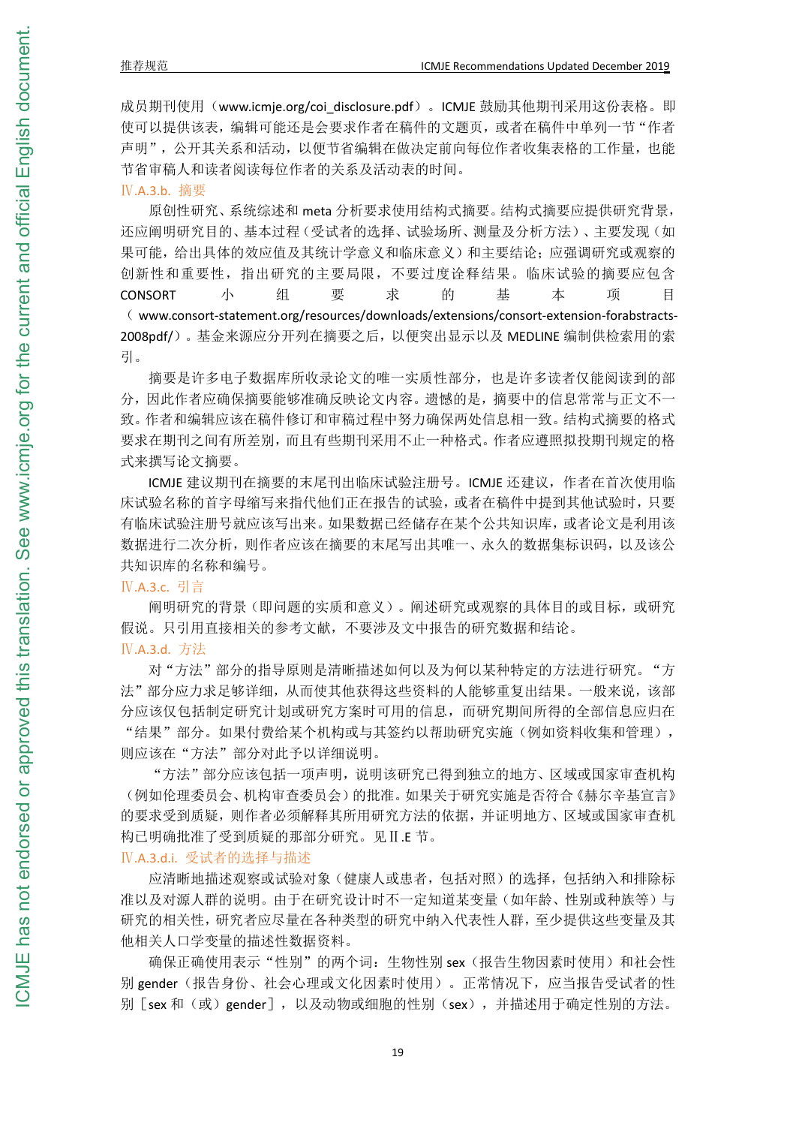成员期刊使用(www.icmje.org/coi\_disclosure.pdf)。ICMJE 鼓励其他期刊采用这份表格。即 使可以提供该表,编辑可能还是会要求作者在稿件的文题页,或者在稿件中单列一节"作者 声明",公开其关系和活动,以便节省编辑在做决定前向每位作者收集表格的工作量,也能 节省审稿人和读者阅读每位作者的关系及活动表的时间。

Ⅳ.A.3.b. 摘要

原创性研究、系统综述和 meta 分析要求使用结构式摘要。结构式摘要应提供研究背景, 还应阐明研究目的、基本过程(受试者的选择、试验场所、测量及分析方法)、主要发现(如 果可能,给出具体的效应值及其统计学意义和临床意义)和主要结论;应强调研究或观察的 创新性和重要性,指出研究的主要局限,不要过度诠释结果。临床试验的摘要应包含 CONSORT 小 组 要 求 的 基 本 项 目 ( www.consort-statement.org/resources/downloads/extensions/consort-extension-forabstracts- 2008pdf/)。基金来源应分开列在摘要之后,以便突出显示以及 MEDLINE 编制供检索用的索 引。

摘要是许多电子数据库所收录论文的唯一实质性部分,也是许多读者仅能阅读到的部 分,因此作者应确保摘要能够准确反映论文内容。遗憾的是,摘要中的信息常常与正文不一 致。作者和编辑应该在稿件修订和审稿过程中努力确保两处信息相一致。结构式摘要的格式 要求在期刊之间有所差别,而且有些期刊采用不止一种格式。作者应遵照拟投期刊规定的格 式来撰写论文摘要。

ICMJE 建议期刊在摘要的末尾刊出临床试验注册号。ICMJE 还建议,作者在首次使用临 床试验名称的首字母缩写来指代他们正在报告的试验,或者在稿件中提到其他试验时,只要 有临床试验注册号就应该写出来。如果数据已经储存在某个公共知识库,或者论文是利用该 数据进行二次分析,则作者应该在摘要的末尾写出其唯一、永久的数据集标识码,以及该公 共知识库的名称和编号。

## Ⅳ.A.3.c. 引言

阐明研究的背景(即问题的实质和意义)。阐述研究或观察的具体目的或目标,或研究 假说。只引用直接相关的参考文献,不要涉及文中报告的研究数据和结论。 Ⅳ.A.3.d. 方法

对"方法"部分的指导原则是清晰描述如何以及为何以某种特定的方法进行研究。"方 法"部分应力求足够详细,从而使其他获得这些资料的人能够重复出结果。一般来说,该部 分应该仅包括制定研究计划或研究方案时可用的信息,而研究期间所得的全部信息应归在 "结果"部分。如果付费给某个机构或与其签约以帮助研究实施(例如资料收集和管理), 则应该在"方法"部分对此予以详细说明。

"方法"部分应该包括一项声明,说明该研究已得到独立的地方、区域或国家审查机构 (例如伦理委员会、机构审查委员会)的批准。如果关于研究实施是否符合《赫尔辛基宣言》 的要求受到质疑,则作者必须解释其所用研究方法的依据,并证明地方、区域或国家审查机 构已明确批准了受到质疑的那部分研究。见Ⅱ.E 节。

## Ⅳ.A.3.d.i. 受试者的选择与描述

应清晰地描述观察或试验对象(健康人或患者,包括对照)的选择,包括纳入和排除标 准以及对源人群的说明。由于在研究设计时不一定知道某变量(如年龄、性别或种族等)与 研究的相关性,研究者应尽量在各种类型的研究中纳入代表性人群,至少提供这些变量及其 他相关人口学变量的描述性数据资料。

确保正确使用表示"性别"的两个词: 生物性别 sex(报告生物因素时使用)和社会性 别 gender(报告身份、社会心理或文化因素时使用)。正常情况下,应当报告受试者的性 别「sex 和(或)gender],以及动物或细胞的性别(sex),并描述用于确定性别的方法。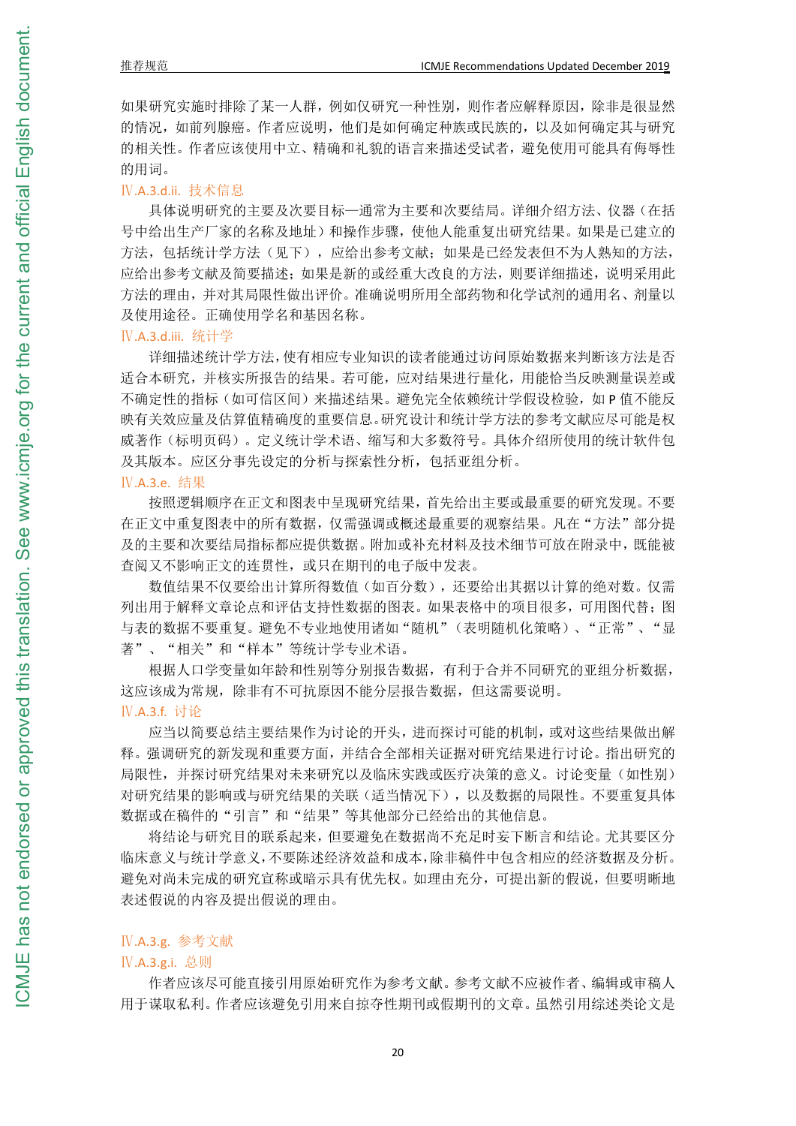如果研究实施时排除了某一人群,例如仅研究一种性别,则作者应解释原因,除非是很显然 的情况,如前列腺癌。作者应说明,他们是如何确定种族或民族的,以及如何确定其与研究 的相关性。作者应该使用中立、精确和礼貌的语言来描述受试者,避免使用可能具有侮辱性 的用词。

## Ⅳ.A.3.d.ii. 技术信息

具体说明研究的主要及次要目标—通常为主要和次要结局。详细介绍方法、仪器(在括 号中给出生产厂家的名称及地址)和操作步骤,使他人能重复出研究结果。如果是已建立的 方法,包括统计学方法(见下),应给出参考文献;如果是已经发表但不为人熟知的方法, 应给出参考文献及简要描述;如果是新的或经重大改良的方法,则要详细描述,说明采用此 方法的理由,并对其局限性做出评价。准确说明所用全部药物和化学试剂的通用名、剂量以 及使用途径。正确使用学名和基因名称。

#### Ⅳ.A.3.d.iii. 统计学

详细描述统计学方法,使有相应专业知识的读者能通过访问原始数据来判断该方法是否 适合本研究,并核实所报告的结果。若可能,应对结果进行量化,用能恰当反映测量误差或 不确定性的指标(如可信区间)来描述结果。避免完全依赖统计学假设检验,如 P 值不能反 映有关效应量及估算值精确度的重要信息。研究设计和统计学方法的参考文献应尽可能是权 威著作(标明页码)。定义统计学术语、缩写和大多数符号。具体介绍所使用的统计软件包 及其版本。应区分事先设定的分析与探索性分析,包括亚组分析。

## Ⅳ.A.3.e. 结果

按照逻辑顺序在正文和图表中呈现研究结果,首先给出主要或最重要的研究发现。不要 在正文中重复图表中的所有数据,仅需强调或概述最重要的观察结果。凡在"方法"部分提 及的主要和次要结局指标都应提供数据。附加或补充材料及技术细节可放在附录中,既能被 查阅又不影响正文的连贯性,或只在期刊的电子版中发表。

数值结果不仅要给出计算所得数值(如百分数),还要给出其据以计算的绝对数。仅需 列出用于解释文章论点和评估支持性数据的图表。如果表格中的项目很多,可用图代替;图 与表的数据不要重复。避免不专业地使用诸如"随机"(表明随机化策略)、"正常"、"显 著"、"相关"和"样本"等统计学专业术语。

根据人口学变量如年龄和性别等分别报告数据,有利于合并不同研究的亚组分析数据, 这应该成为常规,除非有不可抗原因不能分层报告数据,但这需要说明。

## Ⅳ.A.3.f. 讨论

应当以简要总结主要结果作为讨论的开头,进而探讨可能的机制,或对这些结果做出解 释。强调研究的新发现和重要方面,并结合全部相关证据对研究结果进行讨论。指出研究的 局限性,并探讨研究结果对未来研究以及临床实践或医疗决策的意义。讨论变量(如性别) 对研究结果的影响或与研究结果的关联(适当情况下),以及数据的局限性。不要重复具体 数据或在稿件的"引言"和"结果"等其他部分已经给出的其他信息。

将结论与研究目的联系起来,但要避免在数据尚不充足时妄下断言和结论。尤其要区分 临床意义与统计学意义,不要陈述经济效益和成本,除非稿件中包含相应的经济数据及分析。 避免对尚未完成的研究宣称或暗示具有优先权。如理由充分,可提出新的假说,但要明晰地 表述假说的内容及提出假说的理由。

## Ⅳ.A.3.g. 参考文献

#### Ⅳ.A.3.g.i. 总则

作者应该尽可能直接引用原始研究作为参考文献。参考文献不应被作者、编辑或审稿人 用于谋取私利。作者应该避免引用来自掠夺性期刊或假期刊的文章。虽然引用综述类论文是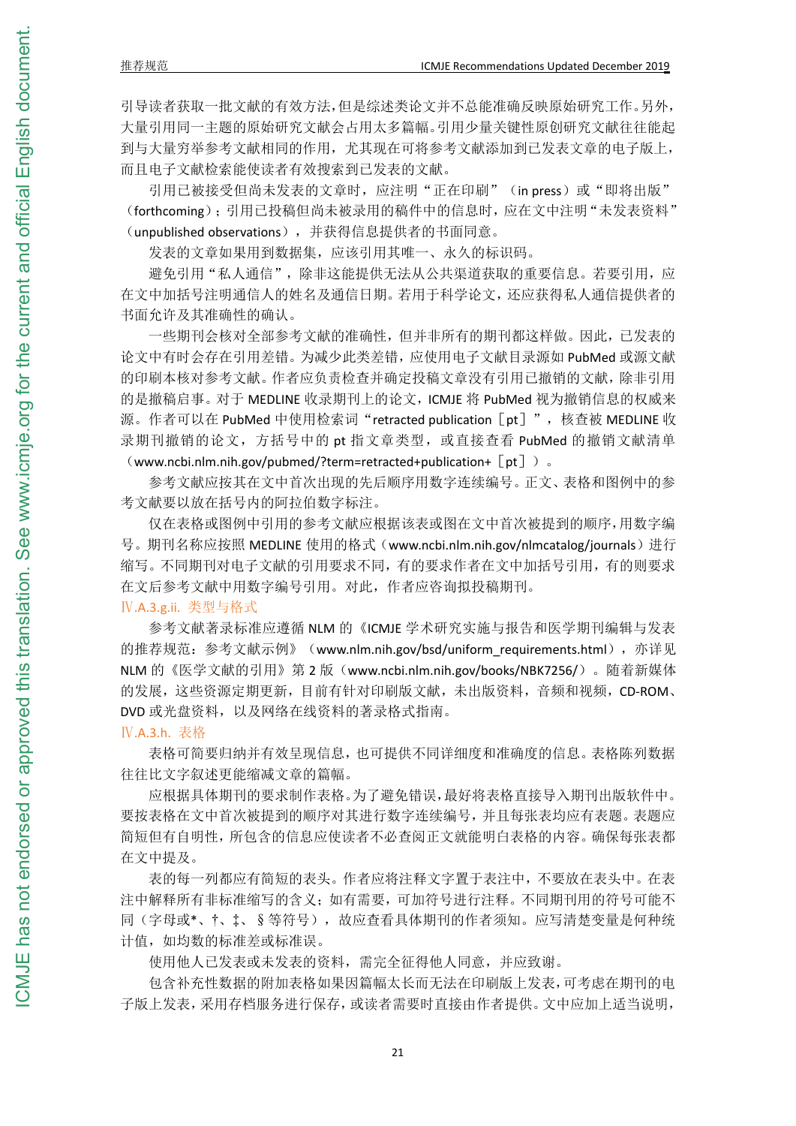引导读者获取一批文献的有效方法,但是综述类论文并不总能准确反映原始研究工作。另外, 大量引用同一主题的原始研究文献会占用太多篇幅。引用少量关键性原创研究文献往往能起 到与大量穷举参考文献相同的作用,尤其现在可将参考文献添加到已发表文章的电子版上, 而且电子文献检索能使读者有效搜索到已发表的文献。

引用已被接受但尚未发表的文章时,应注明"正在印刷"(in press)或"即将出版" (forthcoming);引用已投稿但尚未被录用的稿件中的信息时,应在文中注明"未发表资料" (unpublished observations),并获得信息提供者的书面同意。

发表的文章如果用到数据集,应该引用其唯一、永久的标识码。

避免引用"私人通信",除非这能提供无法从公共渠道获取的重要信息。若要引用,应 在文中加括号注明通信人的姓名及通信日期。若用于科学论文,还应获得私人通信提供者的 书面允许及其准确性的确认。

一些期刊会核对全部参考文献的准确性,但并非所有的期刊都这样做。因此,已发表的 论文中有时会存在引用差错。为减少此类差错,应使用电子文献目录源如 PubMed 或源文献 的印刷本核对参考文献。作者应负责检查并确定投稿文章没有引用已撤销的文献,除非引用 的是撤稿启事。对于 MEDLINE 收录期刊上的论文, ICMJE 将 PubMed 视为撤销信息的权威来 源。作者可以在 PubMed 中使用检索词"retracted publication [pt]",核查被 MEDLINE 收 录期刊撤销的论文,方括号中的 pt 指文章类型, 或直接查看 PubMed 的撤销文献清单 (www.ncbi.nlm.nih.gov/pubmed/?term=retracted+publication+ $[pt]$ ).

参考文献应按其在文中首次出现的先后顺序用数字连续编号。正文、表格和图例中的参 考文献要以放在括号内的阿拉伯数字标注。

仅在表格或图例中引用的参考文献应根据该表或图在文中首次被提到的顺序,用数字编 号。期刊名称应按照 MEDLINE 使用的格式 (www.ncbi.nlm.nih.gov/nlmcatalog/journals)进行 缩写。不同期刊对电子文献的引用要求不同,有的要求作者在文中加括号引用,有的则要求 在文后参考文献中用数字编号引用。对此,作者应咨询拟投稿期刊。

## Ⅳ.A.3.g.ii. 类型与格式

参考文献著录标准应遵循 NLM 的《ICMJE 学术研究实施与报告和医学期刊编辑与发表 的推荐规范: 参考文献示例》(www.nlm.nih.gov/bsd/uniform\_requirements.html),亦详见 NLM 的《医学文献的引用》第 2 版(www.ncbi.nlm.nih.gov/books/NBK7256/)。随着新媒体 的发展,这些资源定期更新,目前有针对印刷版文献,未出版资料,音频和视频,CD-ROM、 DVD 或光盘资料,以及网络在线资料的著录格式指南。

## Ⅳ.A.3.h. 表格

表格可简要归纳并有效呈现信息,也可提供不同详细度和准确度的信息。表格陈列数据 往往比文字叙述更能缩减文章的篇幅。

应根据具体期刊的要求制作表格。为了避免错误,最好将表格直接导入期刊出版软件中。 要按表格在文中首次被提到的顺序对其进行数字连续编号,并且每张表均应有表题。表题应 简短但有自明性,所包含的信息应使读者不必查阅正文就能明白表格的内容。确保每张表都 在文中提及。

表的每一列都应有简短的表头。作者应将注释文字置于表注中,不要放在表头中。在表 注中解释所有非标准缩写的含义;如有需要,可加符号进行注释。不同期刊用的符号可能不 同(字母或\*、†、‡、§等符号),故应查看具体期刊的作者须知。应写清楚变量是何种统 计值,如均数的标准差或标准误。

使用他人已发表或未发表的资料,需完全征得他人同意,并应致谢。

包含补充性数据的附加表格如果因篇幅太长而无法在印刷版上发表,可考虑在期刊的电 子版上发表,采用存档服务进行保存,或读者需要时直接由作者提供。文中应加上适当说明,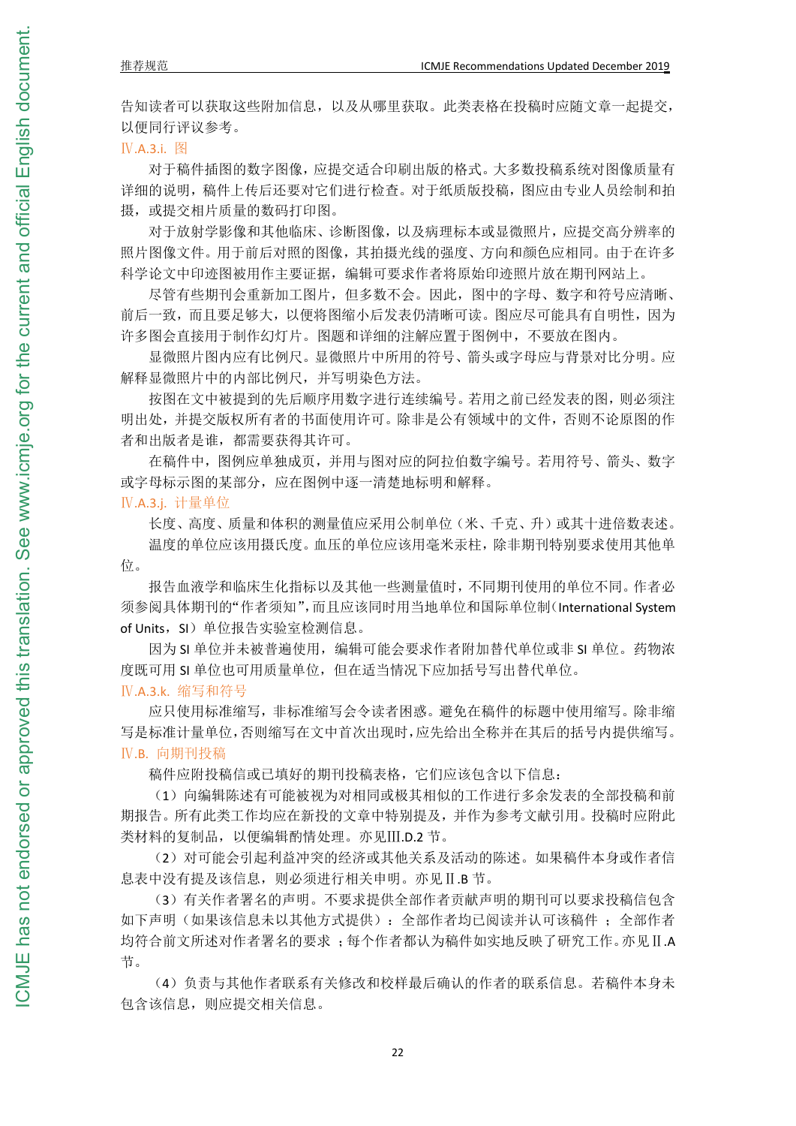告知读者可以获取这些附加信息,以及从哪里获取。此类表格在投稿时应随文章一起提交, 以便同行评议参考。

## Ⅳ.A.3.i. 图

对于稿件插图的数字图像,应提交适合印刷出版的格式。大多数投稿系统对图像质量有 详细的说明,稿件上传后还要对它们进行检查。对于纸质版投稿,图应由专业人员绘制和拍 摄, 或提交相片质量的数码打印图。

对于放射学影像和其他临床、诊断图像,以及病理标本或显微照片,应提交高分辨率的 照片图像文件。用于前后对照的图像,其拍摄光线的强度、方向和颜色应相同。由于在许多 科学论文中印迹图被用作主要证据,编辑可要求作者将原始印迹照片放在期刊网站上。

尽管有些期刊会重新加工图片,但多数不会。因此,图中的字母、数字和符号应清晰、 前后一致,而且要足够大,以便将图缩小后发表仍清晰可读。图应尽可能具有自明性,因为 许多图会直接用于制作幻灯片。图题和详细的注解应置于图例中,不要放在图内。

显微照片图内应有比例尺。显微照片中所用的符号、箭头或字母应与背景对比分明。应 解释显微照片中的内部比例尺,并写明染色方法。

按图在文中被提到的先后顺序用数字进行连续编号。若用之前已经发表的图,则必须注 明出处,并提交版权所有者的书面使用许可。除非是公有领域中的文件,否则不论原图的作 者和出版者是谁,都需要获得其许可。

在稿件中,图例应单独成页,并用与图对应的阿拉伯数字编号。若用符号、箭头、数字 或字母标示图的某部分,应在图例中逐一清楚地标明和解释。

## Ⅳ.A.3.j. 计量单位

长度、高度、质量和体积的测量值应采用公制单位(米、千克、升)或其十进倍数表述。 温度的单位应该用摄氏度。血压的单位应该用毫米汞柱,除非期刊特别要求使用其他单 位。

报告血液学和临床生化指标以及其他一些测量值时,不同期刊使用的单位不同。作者必 须参阅具体期刊的"作者须知",而且应该同时用当地单位和国际单位制(International System of Units, SI)单位报告实验室检测信息。

因为 SI 单位并未被普遍使用,编辑可能会要求作者附加替代单位或非 SI 单位。药物浓 度既可用 SI 单位也可用质量单位,但在适当情况下应加括号写出替代单位。

#### Ⅳ.A.3.k. 缩写和符号

应只使用标准缩写,非标准缩写会令读者困惑。避免在稿件的标题中使用缩写。除非缩 写是标准计量单位,否则缩写在文中首次出现时,应先给出全称并在其后的括号内提供缩写。 Ⅳ.B. 向期刊投稿

稿件应附投稿信或已填好的期刊投稿表格,它们应该包含以下信息:

(1)向编辑陈述有可能被视为对相同或极其相似的工作进行多余发表的全部投稿和前 期报告。所有此类工作均应在新投的文章中特别提及,并作为参考文献引用。投稿时应附此 类材料的复制品,以便编辑酌情处理。亦见Ⅲ.D.2 节。

(2)对可能会引起利益冲突的经济或其他关系及活动的陈述。如果稿件本身或作者信 息表中没有提及该信息,则必须进行相关申明。亦见Ⅱ.B 节。

(3)有关作者署名的声明。不要求提供全部作者贡献声明的期刊可以要求投稿信包含 如下声明(如果该信息未以其他方式提供):全部作者均已阅读并认可该稿件;全部作者 均符合前文所述对作者署名的要求 ;每个作者都认为稿件如实地反映了研究工作。亦见Ⅱ.A 节。

(4)负责与其他作者联系有关修改和校样最后确认的作者的联系信息。若稿件本身未 包含该信息,则应提交相关信息。